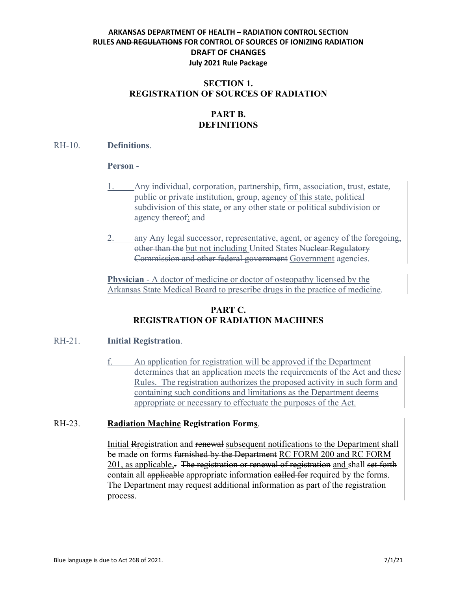## **SECTION 1. REGISTRATION OF SOURCES OF RADIATION**

# **PART B. DEFINITIONS**

#### RH-10. **Definitions**.

#### **Person** -

- 1. Any individual, corporation, partnership, firm, association, trust, estate, public or private institution, group, agency of this state, political subdivision of this state,  $\Theta$  any other state or political subdivision or agency thereof; and
- 2. any Any legal successor, representative, agent, or agency of the foregoing, other than the but not including United States Nuclear Regulatory Commission and other federal government Government agencies.

**Physician** - A doctor of medicine or doctor of osteopathy licensed by the Arkansas State Medical Board to prescribe drugs in the practice of medicine.

## **PART C. REGISTRATION OF RADIATION MACHINES**

## RH-21. **Initial Registration**.

f. An application for registration will be approved if the Department determines that an application meets the requirements of the Act and these Rules. The registration authorizes the proposed activity in such form and containing such conditions and limitations as the Department deems appropriate or necessary to effectuate the purposes of the Act.

## RH-23. **Radiation Machine Registration Forms**.

Initial Rregistration and renewal subsequent notifications to the Department shall be made on forms furnished by the Department RC FORM 200 and RC FORM 201, as applicable,. The registration or renewal of registration and shall set forth contain all applicable appropriate information called for required by the forms. The Department may request additional information as part of the registration process.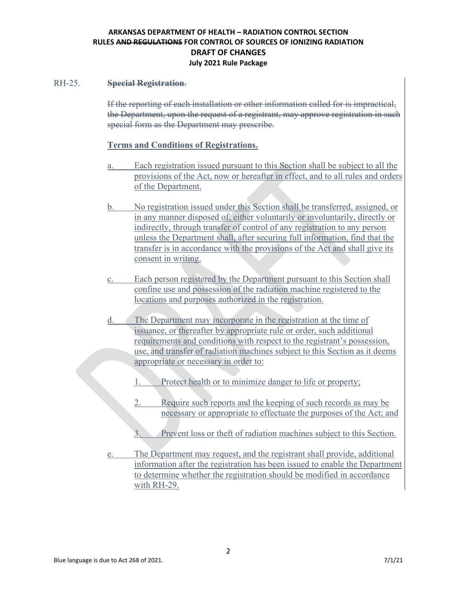#### RH-25. **Special Registration**.

If the reporting of each installation or other information called for is impractical, the Department, upon the request of a registrant, may approve registration in such special form as the Department may prescribe.

## **Terms and Conditions of Registrations.**

- a. Each registration issued pursuant to this Section shall be subject to all the provisions of the Act, now or hereafter in effect, and to all rules and orders of the Department.
- b. No registration issued under this Section shall be transferred, assigned, or in any manner disposed of, either voluntarily or involuntarily, directly or indirectly, through transfer of control of any registration to any person unless the Department shall, after securing full information, find that the transfer is in accordance with the provisions of the Act and shall give its consent in writing.
- c. Each person registered by the Department pursuant to this Section shall confine use and possession of the radiation machine registered to the locations and purposes authorized in the registration.
- d. The Department may incorporate in the registration at the time of issuance, or thereafter by appropriate rule or order, such additional requirements and conditions with respect to the registrant's possession, use, and transfer of radiation machines subject to this Section as it deems appropriate or necessary in order to:
	- 1. Protect health or to minimize danger to life or property;
	- 2. Require such reports and the keeping of such records as may be necessary or appropriate to effectuate the purposes of the Act; and
	- 3. Prevent loss or theft of radiation machines subject to this Section.
- e. The Department may request, and the registrant shall provide, additional information after the registration has been issued to enable the Department to determine whether the registration should be modified in accordance with RH-29.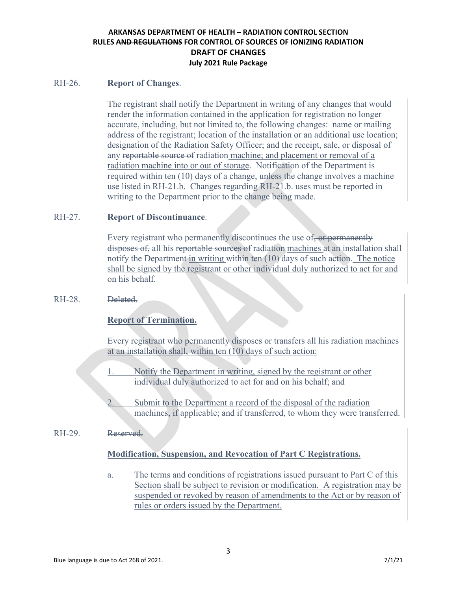### RH-26. **Report of Changes**.

The registrant shall notify the Department in writing of any changes that would render the information contained in the application for registration no longer accurate, including, but not limited to, the following changes: name or mailing address of the registrant; location of the installation or an additional use location; designation of the Radiation Safety Officer; and the receipt, sale, or disposal of any reportable source of radiation machine; and placement or removal of a radiation machine into or out of storage. Notification of the Department is required within ten (10) days of a change, unless the change involves a machine use listed in RH-21.b. Changes regarding RH-21.b. uses must be reported in writing to the Department prior to the change being made.

## RH-27. **Report of Discontinuance**.

Every registrant who permanently discontinues the use of, or permanently disposes of, all his reportable sources of radiation machines at an installation shall notify the Department in writing within ten (10) days of such action. The notice shall be signed by the registrant or other individual duly authorized to act for and on his behalf.

## RH-28. Deleted.

## **Report of Termination.**

Every registrant who permanently disposes or transfers all his radiation machines at an installation shall, within ten (10) days of such action:

- Notify the Department in writing, signed by the registrant or other individual duly authorized to act for and on his behalf; and
- Submit to the Department a record of the disposal of the radiation machines, if applicable; and if transferred, to whom they were transferred.

RH-29. Reserved.

## **Modification, Suspension, and Revocation of Part C Registrations.**

a. The terms and conditions of registrations issued pursuant to Part C of this Section shall be subject to revision or modification. A registration may be suspended or revoked by reason of amendments to the Act or by reason of rules or orders issued by the Department.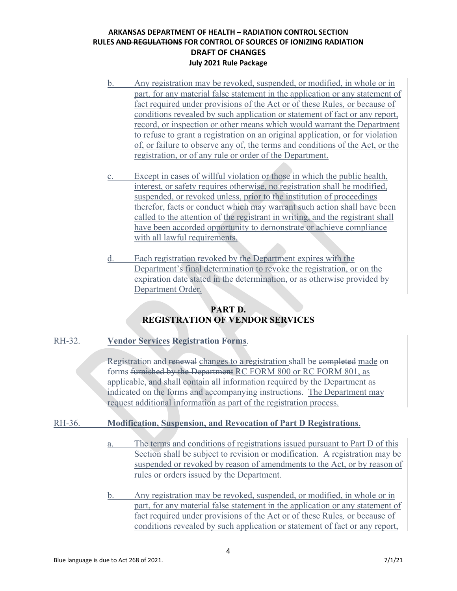- b. Any registration may be revoked, suspended, or modified, in whole or in part, for any material false statement in the application or any statement of fact required under provisions of the Act or of these Rules*,* or because of conditions revealed by such application or statement of fact or any report, record, or inspection or other means which would warrant the Department to refuse to grant a registration on an original application, or for violation of, or failure to observe any of, the terms and conditions of the Act, or the registration, or of any rule or order of the Department.
- c. Except in cases of willful violation or those in which the public health, interest, or safety requires otherwise, no registration shall be modified, suspended, or revoked unless, prior to the institution of proceedings therefor, facts or conduct which may warrant such action shall have been called to the attention of the registrant in writing, and the registrant shall have been accorded opportunity to demonstrate or achieve compliance with all lawful requirements.
- d. Each registration revoked by the Department expires with the Department's final determination to revoke the registration, or on the expiration date stated in the determination, or as otherwise provided by Department Order.

## **PART D. REGISTRATION OF VENDOR SERVICES**

## RH-32. **Vendor Services Registration Forms**.

Registration and renewal changes to a registration shall be eompleted made on forms furnished by the Department RC FORM 800 or RC FORM 801, as applicable, and shall contain all information required by the Department as indicated on the forms and accompanying instructions. The Department may request additional information as part of the registration process.

## RH-36. **Modification, Suspension, and Revocation of Part D Registrations**.

- a. The terms and conditions of registrations issued pursuant to Part D of this Section shall be subject to revision or modification. A registration may be suspended or revoked by reason of amendments to the Act, or by reason of rules or orders issued by the Department.
- b. Any registration may be revoked, suspended, or modified, in whole or in part, for any material false statement in the application or any statement of fact required under provisions of the Act or of these Rules*,* or because of conditions revealed by such application or statement of fact or any report,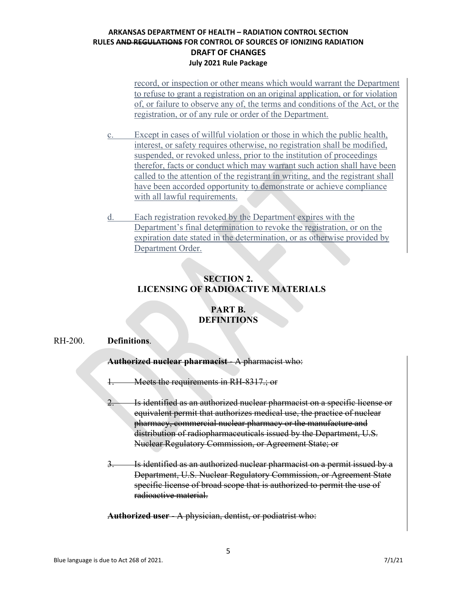record, or inspection or other means which would warrant the Department to refuse to grant a registration on an original application, or for violation of, or failure to observe any of, the terms and conditions of the Act, or the registration, or of any rule or order of the Department.

- c. Except in cases of willful violation or those in which the public health, interest, or safety requires otherwise, no registration shall be modified, suspended, or revoked unless, prior to the institution of proceedings therefor, facts or conduct which may warrant such action shall have been called to the attention of the registrant in writing, and the registrant shall have been accorded opportunity to demonstrate or achieve compliance with all lawful requirements.
- d. Each registration revoked by the Department expires with the Department's final determination to revoke the registration, or on the expiration date stated in the determination, or as otherwise provided by Department Order.

## **SECTION 2. LICENSING OF RADIOACTIVE MATERIALS**

## **PART B. DEFINITIONS**

#### RH-200. **Definitions**.

**Authorized nuclear pharmacist** - A pharmacist who:

1. Meets the requirements in RH-8317.; or

- 2. Is identified as an authorized nuclear pharmacist on a specific license or equivalent permit that authorizes medical use, the practice of nuclear pharmacy, commercial nuclear pharmacy or the manufacture and distribution of radiopharmaceuticals issued by the Department, U.S. Nuclear Regulatory Commission, or Agreement State; or
- 3. Is identified as an authorized nuclear pharmacist on a permit issued by a Department, U.S. Nuclear Regulatory Commission, or Agreement State specific license of broad scope that is authorized to permit the use of radioactive material.

**Authorized user** - A physician, dentist, or podiatrist who: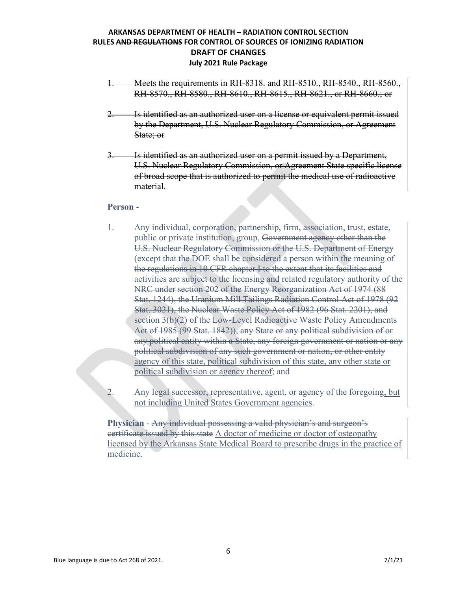- 1. Meets the requirements in RH-8318. and RH-8510., RH-8540., RH-8560., RH-8570., RH-8580., RH-8610., RH-8615., RH-8621., or RH-8660.; or
- 2. Is identified as an authorized user on a license or equivalent permit issued by the Department, U.S. Nuclear Regulatory Commission, or Agreement State; or
- 3. Is identified as an authorized user on a permit issued by a Department, U.S. Nuclear Regulatory Commission, or Agreement State specific license of broad scope that is authorized to permit the medical use of radioactive material.

#### **Person** -

- 1. Any individual, corporation, partnership, firm, association, trust, estate, public or private institution, group, Government agency other than the U.S. Nuclear Regulatory Commission or the U.S. Department of Energy (except that the DOE shall be considered a person within the meaning of the regulations in 10 CFR chapter I to the extent that its facilities and activities are subject to the licensing and related regulatory authority of the NRC under section 202 of the Energy Reorganization Act of 1974 (88 Stat. 1244), the Uranium Mill Tailings Radiation Control Act of 1978 (92 Stat. 3021), the Nuclear Waste Policy Act of 1982 (96 Stat. 2201), and section 3(b)(2) of the Low-Level Radioactive Waste Policy Amendments Act of 1985 (99 Stat. 1842)), any State or any political subdivision of or any political entity within a State, any foreign government or nation or any political subdivision of any such government or nation, or other entity agency of this state, political subdivision of this state, any other state or political subdivision or agency thereof; and
- 2. Any legal successor, representative, agent, or agency of the foregoing, but not including United States Government agencies.

**Physician** - Any individual possessing a valid physician's and surgeon's certificate issued by this state A doctor of medicine or doctor of osteopathy licensed by the Arkansas State Medical Board to prescribe drugs in the practice of medicine.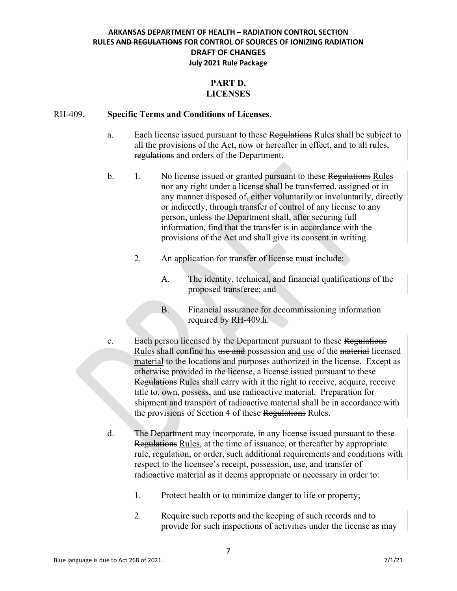## **PART D. LICENSES**

#### RH-409. **Specific Terms and Conditions of Licenses**.

- a. Each license issued pursuant to these Regulations Rules shall be subject to all the provisions of the Act, now or hereafter in effect, and to all rules, regulations and orders of the Department.
- b. 1. No license issued or granted pursuant to these Regulations Rules nor any right under a license shall be transferred, assigned or in any manner disposed of, either voluntarily or involuntarily, directly or indirectly, through transfer of control of any license to any person, unless the Department shall, after securing full information, find that the transfer is in accordance with the provisions of the Act and shall give its consent in writing.
	- 2. An application for transfer of license must include:
		- A. The identity, technical, and financial qualifications of the proposed transferee; and
		- B. Financial assurance for decommissioning information required by RH-409.h.
- c. Each person licensed by the Department pursuant to these Regulations Rules shall confine his use and possession and use of the material licensed material to the locations and purposes authorized in the license. Except as otherwise provided in the license, a license issued pursuant to these Regulations Rules shall carry with it the right to receive, acquire, receive title to, own, possess, and use radioactive material. Preparation for shipment and transport of radioactive material shall be in accordance with the provisions of Section 4 of these Regulations Rules.
- d. The Department may incorporate, in any license issued pursuant to these Regulations Rules, at the time of issuance, or thereafter by appropriate rule, regulation, or order, such additional requirements and conditions with respect to the licensee's receipt, possession, use, and transfer of radioactive material as it deems appropriate or necessary in order to:
	- 1. Protect health or to minimize danger to life or property;
	- 2. Require such reports and the keeping of such records and to provide for such inspections of activities under the license as may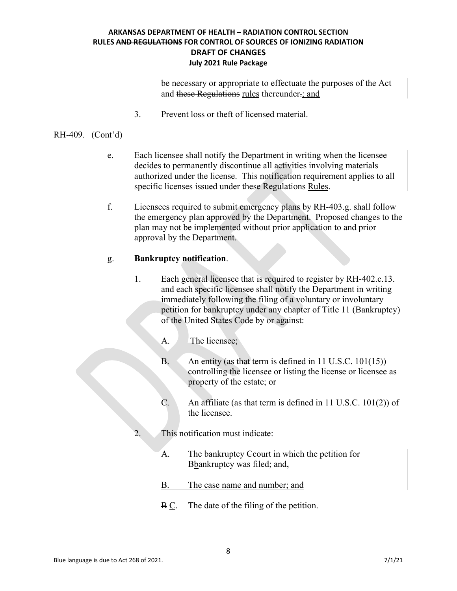be necessary or appropriate to effectuate the purposes of the Act and these Regulations rules thereunder.; and

3. Prevent loss or theft of licensed material.

#### RH-409. (Cont'd)

- e. Each licensee shall notify the Department in writing when the licensee decides to permanently discontinue all activities involving materials authorized under the license. This notification requirement applies to all specific licenses issued under these Regulations Rules.
- f. Licensees required to submit emergency plans by RH-403.g. shall follow the emergency plan approved by the Department. Proposed changes to the plan may not be implemented without prior application to and prior approval by the Department.

#### g. **Bankruptcy notification**.

- 1. Each general licensee that is required to register by RH-402.c.13. and each specific licensee shall notify the Department in writing immediately following the filing of a voluntary or involuntary petition for bankruptcy under any chapter of Title 11 (Bankruptcy) of the United States Code by or against:
	- A. The licensee;
	- B. An entity (as that term is defined in 11 U.S.C. 101(15)) controlling the licensee or listing the license or licensee as property of the estate; or
	- C. An affiliate (as that term is defined in 11 U.S.C. 101(2)) of the licensee.
- 2. This notification must indicate:
	- A. The bankruptcy Ccourt in which the petition for Bbankruptcy was filed; and,
	- B. The case name and number; and
	- B C. The date of the filing of the petition.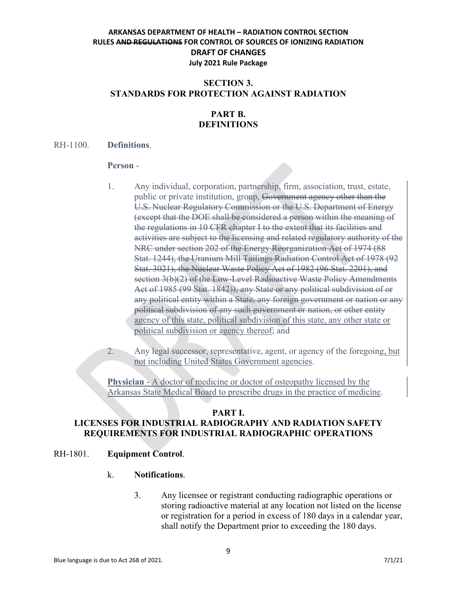## **SECTION 3. STANDARDS FOR PROTECTION AGAINST RADIATION**

# **PART B. DEFINITIONS**

#### RH-1100. **Definitions**.

#### **Person** -

1. Any individual, corporation, partnership, firm, association, trust, estate, public or private institution, group, Government agency other than the U.S. Nuclear Regulatory Commission or the U.S. Department of Energy (except that the DOE shall be considered a person within the meaning of the regulations in 10 CFR chapter I to the extent that its facilities and activities are subject to the licensing and related regulatory authority of the NRC under section 202 of the Energy Reorganization Act of 1974 (88 Stat. 1244), the Uranium Mill Tailings Radiation Control Act of 1978 (92 Stat. 3021), the Nuclear Waste Policy Act of 1982 (96 Stat. 2201), and section 3(b)(2) of the Low-Level Radioactive Waste Policy Amendments Act of 1985 (99 Stat. 1842)), any State or any political subdivision of or any political entity within a State, any foreign government or nation or any political subdivision of any such government or nation, or other entity agency of this state, political subdivision of this state, any other state or political subdivision or agency thereof; and

2. Any legal successor, representative, agent, or agency of the foregoing, but not including United States Government agencies.

**Physician** - A doctor of medicine or doctor of osteopathy licensed by the Arkansas State Medical Board to prescribe drugs in the practice of medicine.

#### **PART I.**

# **LICENSES FOR INDUSTRIAL RADIOGRAPHY AND RADIATION SAFETY REQUIREMENTS FOR INDUSTRIAL RADIOGRAPHIC OPERATIONS**

## RH-1801. **Equipment Control**.

#### k. **Notifications**.

3. Any licensee or registrant conducting radiographic operations or storing radioactive material at any location not listed on the license or registration for a period in excess of 180 days in a calendar year, shall notify the Department prior to exceeding the 180 days.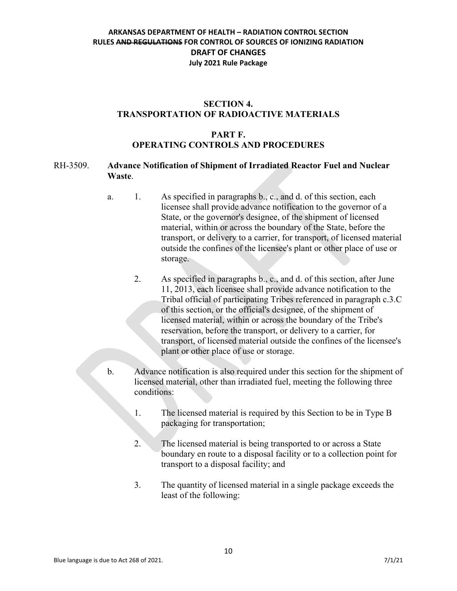## **SECTION 4. TRANSPORTATION OF RADIOACTIVE MATERIALS**

## **PART F. OPERATING CONTROLS AND PROCEDURES**

### RH-3509. **Advance Notification of Shipment of Irradiated Reactor Fuel and Nuclear Waste**.

- a. 1. As specified in paragraphs b., c., and d. of this section, each licensee shall provide advance notification to the governor of a State, or the governor's designee, of the shipment of licensed material, within or across the boundary of the State, before the transport, or delivery to a carrier, for transport, of licensed material outside the confines of the licensee's plant or other place of use or storage.
	- 2. As specified in paragraphs b., c., and d. of this section, after June 11, 2013, each licensee shall provide advance notification to the Tribal official of participating Tribes referenced in paragraph c.3.C of this section, or the official's designee, of the shipment of licensed material, within or across the boundary of the Tribe's reservation, before the transport, or delivery to a carrier, for transport, of licensed material outside the confines of the licensee's plant or other place of use or storage.
- b. Advance notification is also required under this section for the shipment of licensed material, other than irradiated fuel, meeting the following three conditions:
	- 1. The licensed material is required by this Section to be in Type B packaging for transportation;
	- 2. The licensed material is being transported to or across a State boundary en route to a disposal facility or to a collection point for transport to a disposal facility; and
	- 3. The quantity of licensed material in a single package exceeds the least of the following: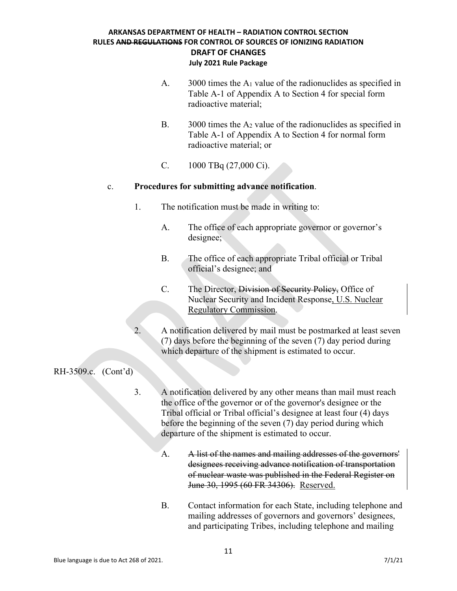- A. 3000 times the A1 value of the radionuclides as specified in Table A-1 of Appendix A to Section 4 for special form radioactive material;
- B.  $3000$  times the  $A_2$  value of the radionuclides as specified in Table A-1 of Appendix A to Section 4 for normal form radioactive material; or
- C. 1000 TBq (27,000 Ci).

## c. **Procedures for submitting advance notification**.

- 1. The notification must be made in writing to:
	- A. The office of each appropriate governor or governor's designee;
	- B. The office of each appropriate Tribal official or Tribal official's designee; and
	- C. The Director, Division of Security Policy, Office of Nuclear Security and Incident Response, U.S. Nuclear Regulatory Commission.
- 2. A notification delivered by mail must be postmarked at least seven (7) days before the beginning of the seven (7) day period during which departure of the shipment is estimated to occur.

RH-3509.c. (Cont'd)

- 3. A notification delivered by any other means than mail must reach the office of the governor or of the governor's designee or the Tribal official or Tribal official's designee at least four (4) days before the beginning of the seven (7) day period during which departure of the shipment is estimated to occur.
	- A. A list of the names and mailing addresses of the governors' designees receiving advance notification of transportation of nuclear waste was published in the Federal Register on June 30, 1995 (60 FR 34306). Reserved.
	- B. Contact information for each State, including telephone and mailing addresses of governors and governors' designees, and participating Tribes, including telephone and mailing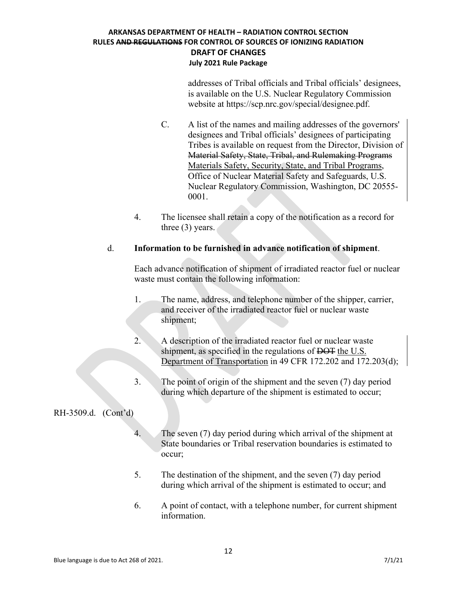addresses of Tribal officials and Tribal officials' designees, is available on the U.S. Nuclear Regulatory Commission website at [https://scp.nrc.gov/special/designee.pdf.](https://scp.nrc.gov/special/designee.pdf)

- C. A list of the names and mailing addresses of the governors' designees and Tribal officials' designees of participating Tribes is available on request from the Director, Division of Material Safety, State, Tribal, and Rulemaking Programs Materials Safety, Security, State, and Tribal Programs, Office of Nuclear Material Safety and Safeguards, U.S. Nuclear Regulatory Commission, Washington, DC 20555- 0001.
- 4. The licensee shall retain a copy of the notification as a record for three (3) years.

## d. **Information to be furnished in advance notification of shipment**.

Each advance notification of shipment of irradiated reactor fuel or nuclear waste must contain the following information:

- 1. The name, address, and telephone number of the shipper, carrier, and receiver of the irradiated reactor fuel or nuclear waste shipment;
- 2. A description of the irradiated reactor fuel or nuclear waste shipment, as specified in the regulations of <del>DOT</del> the U.S. Department of Transportation in 49 CFR 172.202 and 172.203(d);
- 3. The point of origin of the shipment and the seven (7) day period during which departure of the shipment is estimated to occur;

## RH-3509.d. (Cont'd)

- 4. The seven (7) day period during which arrival of the shipment at State boundaries or Tribal reservation boundaries is estimated to occur;
- 5. The destination of the shipment, and the seven (7) day period during which arrival of the shipment is estimated to occur; and
- 6. A point of contact, with a telephone number, for current shipment information.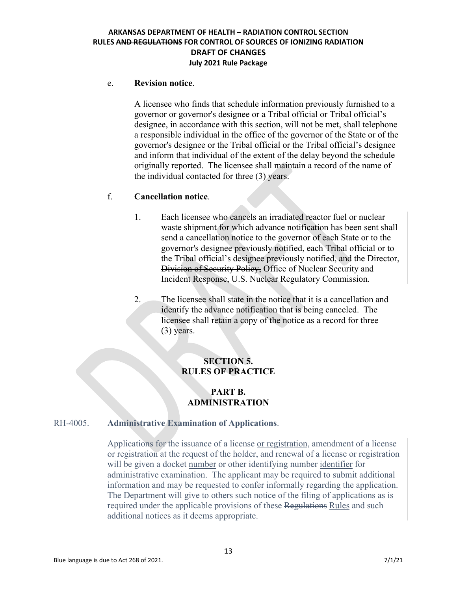#### e. **Revision notice**.

A licensee who finds that schedule information previously furnished to a governor or governor's designee or a Tribal official or Tribal official's designee, in accordance with this section, will not be met, shall telephone a responsible individual in the office of the governor of the State or of the governor's designee or the Tribal official or the Tribal official's designee and inform that individual of the extent of the delay beyond the schedule originally reported. The licensee shall maintain a record of the name of the individual contacted for three (3) years.

## f. **Cancellation notice**.

- 1. Each licensee who cancels an irradiated reactor fuel or nuclear waste shipment for which advance notification has been sent shall send a cancellation notice to the governor of each State or to the governor's designee previously notified, each Tribal official or to the Tribal official's designee previously notified, and the Director, Division of Security Policy, Office of Nuclear Security and Incident Response, U.S. Nuclear Regulatory Commission.
- 2. The licensee shall state in the notice that it is a cancellation and identify the advance notification that is being canceled. The licensee shall retain a copy of the notice as a record for three (3) years.

## **SECTION 5. RULES OF PRACTICE**

## **PART B. ADMINISTRATION**

## RH-4005. **Administrative Examination of Applications**.

Applications for the issuance of a license or registration, amendment of a license or registration at the request of the holder, and renewal of a license or registration will be given a docket number or other identifying number identifier for administrative examination. The applicant may be required to submit additional information and may be requested to confer informally regarding the application. The Department will give to others such notice of the filing of applications as is required under the applicable provisions of these Regulations Rules and such additional notices as it deems appropriate.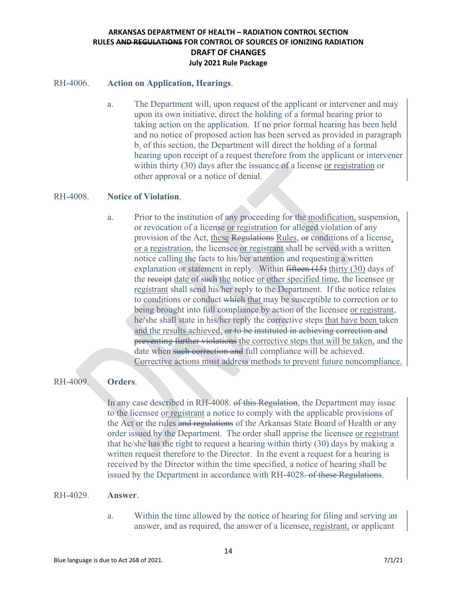#### RH-4006. **Action on Application, Hearings**.

a. The Department will, upon request of the applicant or intervener and may upon its own initiative, direct the holding of a formal hearing prior to taking action on the application. If no prior formal hearing has been held and no notice of proposed action has been served as provided in paragraph b. of this section, the Department will direct the holding of a formal hearing upon receipt of a request therefore from the applicant or intervener within thirty (30) days after the issuance of a license or registration or other approval or a notice of denial.

#### RH-4008. **Notice of Violation**.

a. Prior to the institution of any proceeding for the modification, suspension, or revocation of a license or registration for alleged violation of any provision of the Act, these Regulations Rules, or conditions of a license, or a registration, the licensee or registrant shall be served with a written notice calling the facts to his/her attention and requesting a written explanation or statement in reply. Within fifteen (15) thirty (30) days of the receipt date of such the notice or other specified time, the licensee or registrant shall send his/her reply to the Department. If the notice relates to conditions or conduct which that may be susceptible to correction or to being brought into full compliance by action of the licensee or registrant, he/she shall state in his/her reply the corrective steps that have been taken and the results achieved, or to be instituted in achieving correction and preventing further violations the corrective steps that will be taken, and the date when such correction and full compliance will be achieved. Corrective actions must address methods to prevent future noncompliance.

## RH-4009. **Orders**.

In any case described in RH-4008. of this Regulation, the Department may issue to the licensee or registrant a notice to comply with the applicable provisions of the Act or the rules and regulations of the Arkansas State Board of Health or any order issued by the Department. The order shall apprise the licensee or registrant that he/she has the right to request a hearing within thirty (30) days by making a written request therefore to the Director. In the event a request for a hearing is received by the Director within the time specified, a notice of hearing shall be issued by the Department in accordance with RH-4028. of these Regulations.

#### RH-4029. **Answer**.

a. Within the time allowed by the notice of hearing for filing and serving an answer, and as required, the answer of a licensee, registrant, or applicant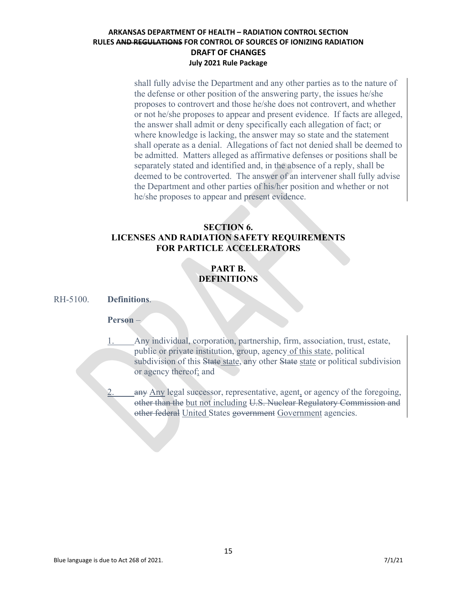shall fully advise the Department and any other parties as to the nature of the defense or other position of the answering party, the issues he/she proposes to controvert and those he/she does not controvert, and whether or not he/she proposes to appear and present evidence. If facts are alleged, the answer shall admit or deny specifically each allegation of fact; or where knowledge is lacking, the answer may so state and the statement shall operate as a denial. Allegations of fact not denied shall be deemed to be admitted. Matters alleged as affirmative defenses or positions shall be separately stated and identified and, in the absence of a reply, shall be deemed to be controverted. The answer of an intervener shall fully advise the Department and other parties of his/her position and whether or not he/she proposes to appear and present evidence.

## **SECTION 6. LICENSES AND RADIATION SAFETY REQUIREMENTS FOR PARTICLE ACCELERATORS**

# **PART B. DEFINITIONS**

### RH-5100. **Definitions**.

## **Person** –

- 1. Any individual, corporation, partnership, firm, association, trust, estate, public or private institution, group, agency of this state, political subdivision of this State state, any other State state or political subdivision or agency thereof; and
	- any Any legal successor, representative, agent, or agency of the foregoing, other than the but not including U.S. Nuclear Regulatory Commission and other federal United States government Government agencies.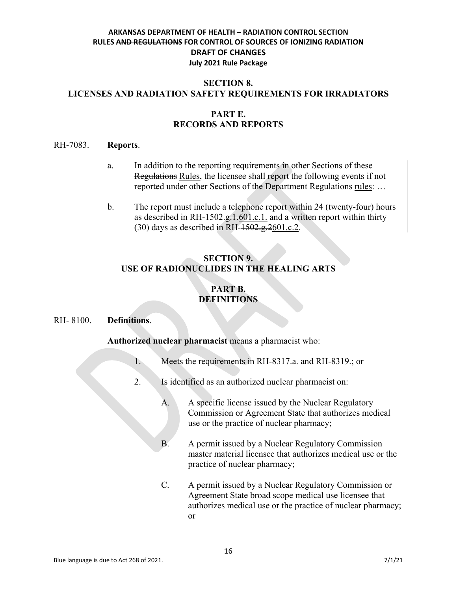## **SECTION 8. LICENSES AND RADIATION SAFETY REQUIREMENTS FOR IRRADIATORS**

## **PART E. RECORDS AND REPORTS**

#### RH-7083. **Reports**.

- a. In addition to the reporting requirements in other Sections of these Regulations Rules, the licensee shall report the following events if not reported under other Sections of the Department Regulations rules: …
- b. The report must include a telephone report within 24 (twenty-four) hours as described in RH- $1502.9, 1.601.c.1$ . and a written report within thirty  $(30)$  days as described in RH- $1502.g.2601.c.2$ .

# **SECTION 9. USE OF RADIONUCLIDES IN THE HEALING ARTS**

# **PART B. DEFINITIONS**

## RH- 8100. **Definitions**.

**Authorized nuclear pharmacist** means a pharmacist who:

- 1. Meets the requirements in RH-8317.a. and RH-8319.; or
- 2. Is identified as an authorized nuclear pharmacist on:
	- A. A specific license issued by the Nuclear Regulatory Commission or Agreement State that authorizes medical use or the practice of nuclear pharmacy;
	- B. A permit issued by a Nuclear Regulatory Commission master material licensee that authorizes medical use or the practice of nuclear pharmacy;
	- C. A permit issued by a Nuclear Regulatory Commission or Agreement State broad scope medical use licensee that authorizes medical use or the practice of nuclear pharmacy; or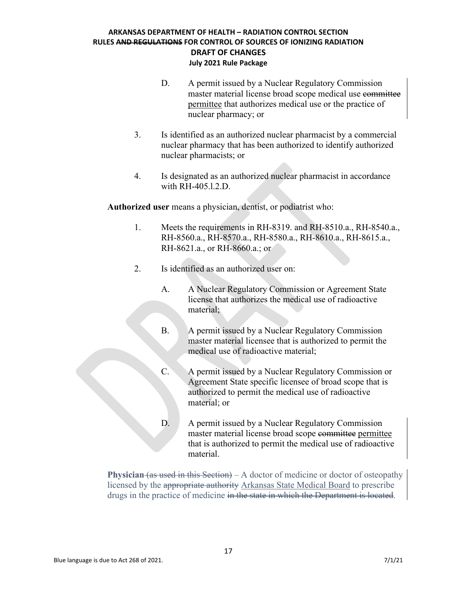- D. A permit issued by a Nuclear Regulatory Commission master material license broad scope medical use committee permittee that authorizes medical use or the practice of nuclear pharmacy; or
- 3. Is identified as an authorized nuclear pharmacist by a commercial nuclear pharmacy that has been authorized to identify authorized nuclear pharmacists; or
- 4. Is designated as an authorized nuclear pharmacist in accordance with RH-405.l.2.D.

**Authorized user** means a physician, dentist, or podiatrist who:

- 1. Meets the requirements in RH-8319. and RH-8510.a., RH-8540.a., RH-8560.a., RH-8570.a., RH-8580.a., RH-8610.a., RH-8615.a., RH-8621.a., or RH-8660.a.; or
- 2. Is identified as an authorized user on:
	- A. A Nuclear Regulatory Commission or Agreement State license that authorizes the medical use of radioactive material;
	- B. A permit issued by a Nuclear Regulatory Commission master material licensee that is authorized to permit the medical use of radioactive material;
	- C. A permit issued by a Nuclear Regulatory Commission or Agreement State specific licensee of broad scope that is authorized to permit the medical use of radioactive material; or
	- D. A permit issued by a Nuclear Regulatory Commission master material license broad scope committee permittee that is authorized to permit the medical use of radioactive material.

**Physician** (as used in this Section) – A doctor of medicine or doctor of osteopathy licensed by the appropriate authority Arkansas State Medical Board to prescribe drugs in the practice of medicine in the state in which the Department is located.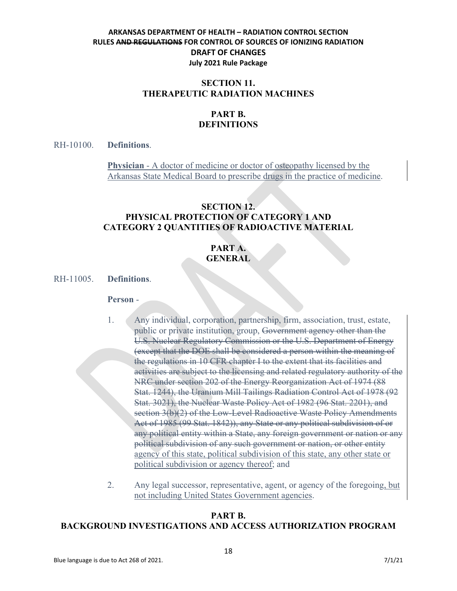## **SECTION 11. THERAPEUTIC RADIATION MACHINES**

# **PART B. DEFINITIONS**

RH-10100. **Definitions**.

**Physician** - A doctor of medicine or doctor of osteopathy licensed by the Arkansas State Medical Board to prescribe drugs in the practice of medicine.

## **SECTION 12. PHYSICAL PROTECTION OF CATEGORY 1 AND CATEGORY 2 QUANTITIES OF RADIOACTIVE MATERIAL**

# **PART A. GENERAL**

RH-11005. **Definitions**.

#### **Person** -

- 1. Any individual, corporation, partnership, firm, association, trust, estate, public or private institution, group, Government agency other than the U.S. Nuclear Regulatory Commission or the U.S. Department of Energy (except that the DOE shall be considered a person within the meaning of the regulations in 10 CFR chapter I to the extent that its facilities and activities are subject to the licensing and related regulatory authority of the NRC under section 202 of the Energy Reorganization Act of 1974 (88 Stat. 1244), the Uranium Mill Tailings Radiation Control Act of 1978 (92 Stat. 3021), the Nuclear Waste Policy Act of 1982 (96 Stat. 2201), and section 3(b)(2) of the Low-Level Radioactive Waste Policy Amendments Act of 1985 (99 Stat. 1842)), any State or any political subdivision of or any political entity within a State, any foreign government or nation or any political subdivision of any such government or nation, or other entity agency of this state, political subdivision of this state, any other state or political subdivision or agency thereof; and
- 2. Any legal successor, representative, agent, or agency of the foregoing, but not including United States Government agencies.

## **PART B. BACKGROUND INVESTIGATIONS AND ACCESS AUTHORIZATION PROGRAM**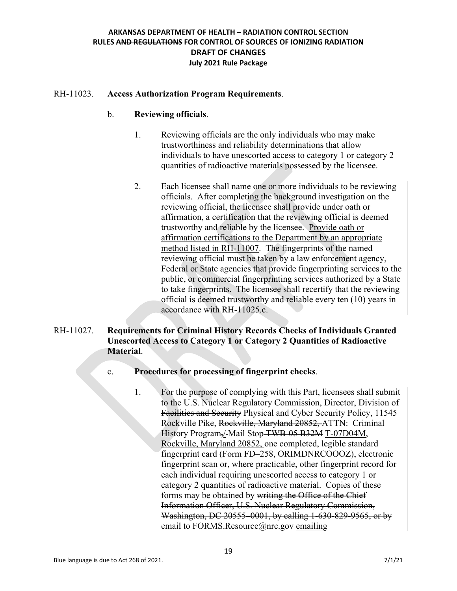### RH-11023. **Access Authorization Program Requirements**.

#### b. **Reviewing officials**.

- 1. Reviewing officials are the only individuals who may make trustworthiness and reliability determinations that allow individuals to have unescorted access to category 1 or category 2 quantities of radioactive materials possessed by the licensee.
- 2. Each licensee shall name one or more individuals to be reviewing officials. After completing the background investigation on the reviewing official, the licensee shall provide under oath or affirmation, a certification that the reviewing official is deemed trustworthy and reliable by the licensee. Provide oath or affirmation certifications to the Department by an appropriate method listed in RH-11007. The fingerprints of the named reviewing official must be taken by a law enforcement agency, Federal or State agencies that provide fingerprinting services to the public, or commercial fingerprinting services authorized by a State to take fingerprints. The licensee shall recertify that the reviewing official is deemed trustworthy and reliable every ten (10) years in accordance with RH-11025.c.

## RH-11027. **Requirements for Criminal History Records Checks of Individuals Granted Unescorted Access to Category 1 or Category 2 Quantities of Radioactive Material**.

## c. **Procedures for processing of fingerprint checks**.

1. For the purpose of complying with this Part, licensees shall submit to the U.S. Nuclear Regulatory Commission, Director, Division of Facilities and Security Physical and Cyber Security Policy, 11545 Rockville Pike, Rockville, Maryland 20852, ATTN: Criminal History Program,/ Mail Stop TWB-05 B32M T-07D04M, Rockville, Maryland 20852, one completed, legible standard fingerprint card (Form FD–258, ORIMDNRCOOOZ), electronic fingerprint scan or, where practicable, other fingerprint record for each individual requiring unescorted access to category 1 or category 2 quantities of radioactive material. Copies of these forms may be obtained by writing the Office of the Chief Information Officer, U.S. Nuclear Regulatory Commission, Washington, DC 20555–0001, by calling 1-630-829-9565, or by email to FORMS.Resource@nrc.gov emailing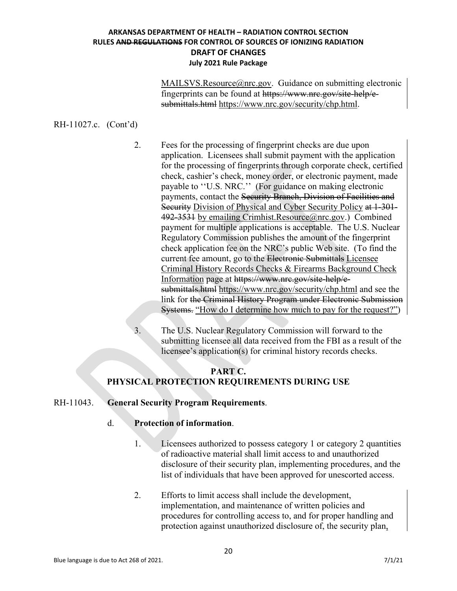MAILSVS.Resource@nrc.gov. Guidance on submitting electronic fingerprints can be found at [https://www.nrc.gov/site-help/e](https://www.nrc.gov/site-help/e-submittals.html)[submittals.html](https://www.nrc.gov/site-help/e-submittals.html) https://www.nrc.gov/security/chp.html.

## RH-11027.c. (Cont'd)

2. Fees for the processing of fingerprint checks are due upon application. Licensees shall submit payment with the application for the processing of fingerprints through corporate check, certified check, cashier's check, money order, or electronic payment, made payable to ''U.S. NRC.'' (For guidance on making electronic payments, contact the Security Branch, Division of Facilities and Security Division of Physical and Cyber Security Policy at 1-301-492-3531 by emailing Crimhist.Resource@nrc.gov.) Combined payment for multiple applications is acceptable. The U.S. Nuclear Regulatory Commission publishes the amount of the fingerprint check application fee on the NRC's public Web site. (To find the current fee amount, go to the Electronic Submittals Licensee Criminal History Records Checks & Firearms Background Check Information page at [https://www.nrc.gov/site-help/e](https://www.nrc.gov/site-help/e-submittals.html)[submittals.html](https://www.nrc.gov/site-help/e-submittals.html) https://www.nrc.gov/security/chp.html and see the link for the Criminal History Program under Electronic Submission Systems. "How do I determine how much to pay for the request?")

3. The U.S. Nuclear Regulatory Commission will forward to the submitting licensee all data received from the FBI as a result of the licensee's application(s) for criminal history records checks.

## **PART C. PHYSICAL PROTECTION REQUIREMENTS DURING USE**

#### RH-11043. **General Security Program Requirements**.

## d. **Protection of information**.

- 1. Licensees authorized to possess category 1 or category 2 quantities of radioactive material shall limit access to and unauthorized disclosure of their security plan, implementing procedures, and the list of individuals that have been approved for unescorted access.
- 2. Efforts to limit access shall include the development, implementation, and maintenance of written policies and procedures for controlling access to, and for proper handling and protection against unauthorized disclosure of, the security plan,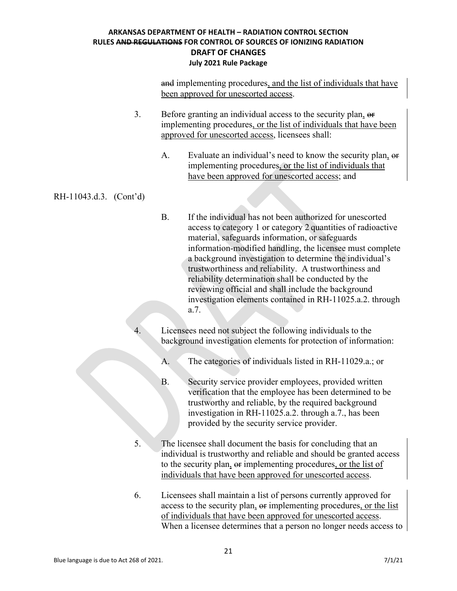and implementing procedures, and the list of individuals that have been approved for unescorted access.

- 3. Before granting an individual access to the security plan, or implementing procedures, or the list of individuals that have been approved for unescorted access, licensees shall:
	- A. Evaluate an individual's need to know the security plan, or implementing procedures, or the list of individuals that have been approved for unescorted access; and

## RH-11043.d.3. (Cont'd)

- B. If the individual has not been authorized for unescorted access to category 1 or category 2 quantities of radioactive material, safeguards information, or safeguards information-modified handling, the licensee must complete a background investigation to determine the individual's trustworthiness and reliability. A trustworthiness and reliability determination shall be conducted by the reviewing official and shall include the background investigation elements contained in RH-11025.a.2. through a.7.
- Licensees need not subject the following individuals to the background investigation elements for protection of information:
	- A. The categories of individuals listed in RH-11029.a.; or
	- B. Security service provider employees, provided written verification that the employee has been determined to be trustworthy and reliable, by the required background investigation in RH-11025.a.2. through a.7., has been provided by the security service provider.
- 5. The licensee shall document the basis for concluding that an individual is trustworthy and reliable and should be granted access to the security plan,  $\Theta$  implementing procedures, or the list of individuals that have been approved for unescorted access.
- 6. Licensees shall maintain a list of persons currently approved for access to the security plan,  $\Theta$  implementing procedures, or the list of individuals that have been approved for unescorted access. When a licensee determines that a person no longer needs access to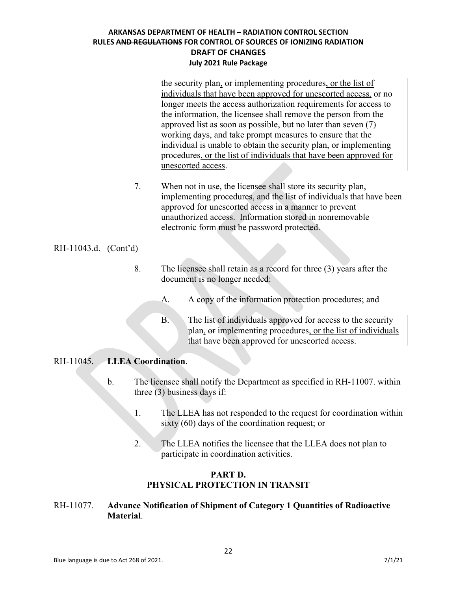the security plan,  $\Theta$  implementing procedures, or the list of individuals that have been approved for unescorted access, or no longer meets the access authorization requirements for access to the information, the licensee shall remove the person from the approved list as soon as possible, but no later than seven (7) working days, and take prompt measures to ensure that the individual is unable to obtain the security plan, or implementing procedures, or the list of individuals that have been approved for unescorted access.

7. When not in use, the licensee shall store its security plan, implementing procedures, and the list of individuals that have been approved for unescorted access in a manner to prevent unauthorized access. Information stored in nonremovable electronic form must be password protected.

RH-11043.d. (Cont'd)

- 8. The licensee shall retain as a record for three (3) years after the document is no longer needed:
	- A. A copy of the information protection procedures; and
	- B. The list of individuals approved for access to the security plan, or implementing procedures, or the list of individuals that have been approved for unescorted access.

## RH-11045. **LLEA Coordination**.

- b. The licensee shall notify the Department as specified in RH-11007. within three (3) business days if:
	- 1. The LLEA has not responded to the request for coordination within sixty (60) days of the coordination request; or
	- 2. The LLEA notifies the licensee that the LLEA does not plan to participate in coordination activities.

## **PART D. PHYSICAL PROTECTION IN TRANSIT**

## RH-11077. **Advance Notification of Shipment of Category 1 Quantities of Radioactive Material**.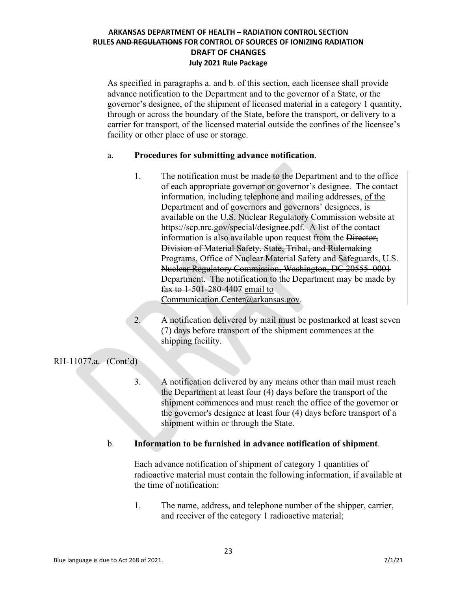As specified in paragraphs a. and b. of this section, each licensee shall provide advance notification to the Department and to the governor of a State, or the governor's designee, of the shipment of licensed material in a category 1 quantity, through or across the boundary of the State, before the transport, or delivery to a carrier for transport, of the licensed material outside the confines of the licensee's facility or other place of use or storage.

## a. **Procedures for submitting advance notification**.

- 1. The notification must be made to the Department and to the office of each appropriate governor or governor's designee. The contact information, including telephone and mailing addresses, of the Department and of governors and governors' designees, is available on the U.S. Nuclear Regulatory Commission website at [https://scp.nrc.gov/special/designee.pdf.](https://scp.nrc.gov/special/designee.pdf) A list of the contact information is also available upon request from the Director, Division of Material Safety, State, Tribal, and Rulemaking Programs, Office of Nuclear Material Safety and Safeguards, U.S. Nuclear Regulatory Commission, Washington, DC 20555–0001 Department. The notification to the Department may be made by fax to 1-501-280-4407 email to Communication.Center@arkansas.gov.
- 2. A notification delivered by mail must be postmarked at least seven (7) days before transport of the shipment commences at the shipping facility.

RH-11077.a. (Cont'd)

3. A notification delivered by any means other than mail must reach the Department at least four (4) days before the transport of the shipment commences and must reach the office of the governor or the governor's designee at least four (4) days before transport of a shipment within or through the State.

## b. **Information to be furnished in advance notification of shipment**.

Each advance notification of shipment of category 1 quantities of radioactive material must contain the following information, if available at the time of notification:

1. The name, address, and telephone number of the shipper, carrier, and receiver of the category 1 radioactive material;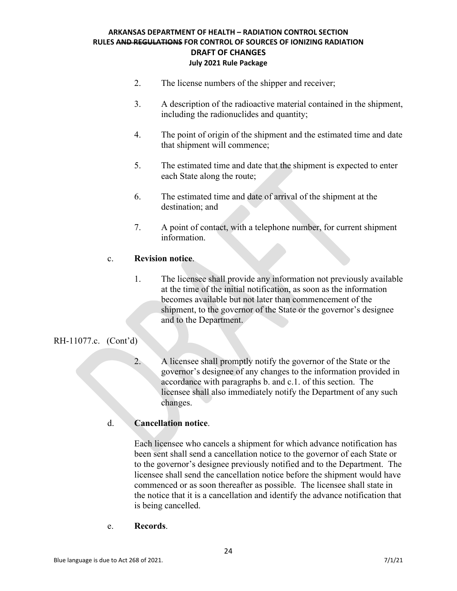- 2. The license numbers of the shipper and receiver;
- 3. A description of the radioactive material contained in the shipment, including the radionuclides and quantity;
- 4. The point of origin of the shipment and the estimated time and date that shipment will commence;
- 5. The estimated time and date that the shipment is expected to enter each State along the route;
- 6. The estimated time and date of arrival of the shipment at the destination; and
- 7. A point of contact, with a telephone number, for current shipment information.

## c. **Revision notice**.

1. The licensee shall provide any information not previously available at the time of the initial notification, as soon as the information becomes available but not later than commencement of the shipment, to the governor of the State or the governor's designee and to the Department.

## RH-11077.c. (Cont'd)

2. A licensee shall promptly notify the governor of the State or the governor's designee of any changes to the information provided in accordance with paragraphs b. and c.1. of this section. The licensee shall also immediately notify the Department of any such changes.

## d. **Cancellation notice**.

Each licensee who cancels a shipment for which advance notification has been sent shall send a cancellation notice to the governor of each State or to the governor's designee previously notified and to the Department. The licensee shall send the cancellation notice before the shipment would have commenced or as soon thereafter as possible. The licensee shall state in the notice that it is a cancellation and identify the advance notification that is being cancelled.

e. **Records**.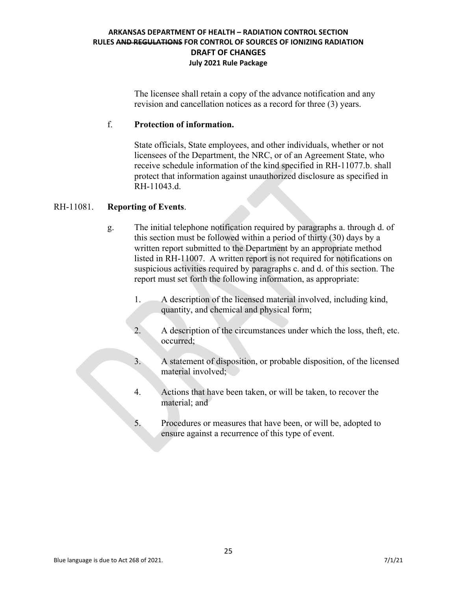The licensee shall retain a copy of the advance notification and any revision and cancellation notices as a record for three (3) years.

## f. **Protection of information.**

State officials, State employees, and other individuals, whether or not licensees of the Department, the NRC, or of an Agreement State, who receive schedule information of the kind specified in RH-11077.b. shall protect that information against unauthorized disclosure as specified in RH-11043.d.

## RH-11081. **Reporting of Events**.

- g. The initial telephone notification required by paragraphs a. through d. of this section must be followed within a period of thirty (30) days by a written report submitted to the Department by an appropriate method listed in RH-11007. A written report is not required for notifications on suspicious activities required by paragraphs c. and d. of this section. The report must set forth the following information, as appropriate:
	- 1. A description of the licensed material involved, including kind, quantity, and chemical and physical form;
	- 2. A description of the circumstances under which the loss, theft, etc. occurred;
	- 3. A statement of disposition, or probable disposition, of the licensed material involved;
	- 4. Actions that have been taken, or will be taken, to recover the material; and
	- 5. Procedures or measures that have been, or will be, adopted to ensure against a recurrence of this type of event.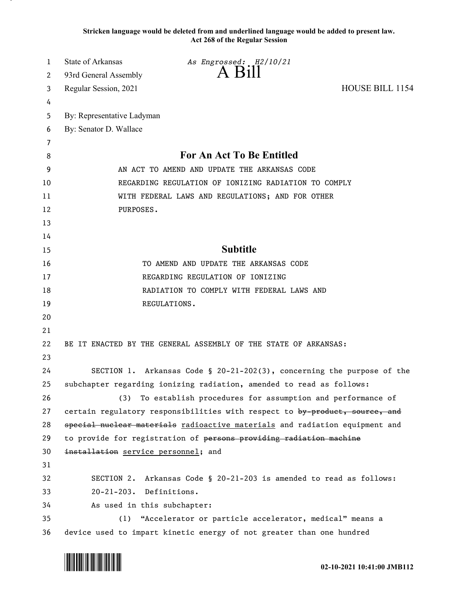**Stricken language would be deleted from and underlined language would be added to present law. Act 268 of the Regular Session**

| 1  | State of Arkansas                   | As Engrossed: H2/10/21                                                      |                 |
|----|-------------------------------------|-----------------------------------------------------------------------------|-----------------|
| 2  | 93rd General Assembly               | A Bill                                                                      |                 |
| 3  | Regular Session, 2021               |                                                                             | HOUSE BILL 1154 |
| 4  |                                     |                                                                             |                 |
| 5  | By: Representative Ladyman          |                                                                             |                 |
| 6  | By: Senator D. Wallace              |                                                                             |                 |
| 7  |                                     |                                                                             |                 |
| 8  |                                     | For An Act To Be Entitled                                                   |                 |
| 9  |                                     | AN ACT TO AMEND AND UPDATE THE ARKANSAS CODE                                |                 |
| 10 |                                     | REGARDING REGULATION OF IONIZING RADIATION TO COMPLY                        |                 |
| 11 |                                     | WITH FEDERAL LAWS AND REGULATIONS; AND FOR OTHER                            |                 |
| 12 | PURPOSES.                           |                                                                             |                 |
| 13 |                                     |                                                                             |                 |
| 14 |                                     |                                                                             |                 |
| 15 |                                     | <b>Subtitle</b>                                                             |                 |
| 16 |                                     | TO AMEND AND UPDATE THE ARKANSAS CODE                                       |                 |
| 17 |                                     | REGARDING REGULATION OF IONIZING                                            |                 |
| 18 |                                     | RADIATION TO COMPLY WITH FEDERAL LAWS AND                                   |                 |
| 19 |                                     | REGULATIONS.                                                                |                 |
| 20 |                                     |                                                                             |                 |
| 21 |                                     |                                                                             |                 |
| 22 |                                     | BE IT ENACTED BY THE GENERAL ASSEMBLY OF THE STATE OF ARKANSAS:             |                 |
| 23 |                                     |                                                                             |                 |
| 24 |                                     | SECTION 1. Arkansas Code § 20-21-202(3), concerning the purpose of the      |                 |
| 25 |                                     | subchapter regarding ionizing radiation, amended to read as follows:        |                 |
| 26 | (3)                                 | To establish procedures for assumption and performance of                   |                 |
| 27 |                                     | certain regulatory responsibilities with respect to by product, source, and |                 |
| 28 |                                     | special nuclear materials radioactive materials and radiation equipment and |                 |
| 29 |                                     | to provide for registration of persons providing radiation machine          |                 |
| 30 | installation service personnel; and |                                                                             |                 |
| 31 |                                     |                                                                             |                 |
| 32 |                                     | SECTION 2. Arkansas Code § 20-21-203 is amended to read as follows:         |                 |
| 33 | 20-21-203. Definitions.             |                                                                             |                 |
| 34 | As used in this subchapter:         |                                                                             |                 |
| 35 | (1)                                 | "Accelerator or particle accelerator, medical" means a                      |                 |
| 36 |                                     | device used to impart kinetic energy of not greater than one hundred        |                 |

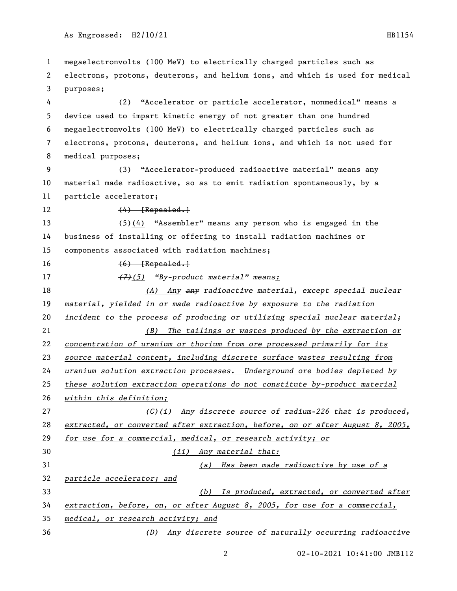megaelectronvolts (100 MeV) to electrically charged particles such as electrons, protons, deuterons, and helium ions, and which is used for medical purposes; (2) "Accelerator or particle accelerator, nonmedical" means a device used to impart kinetic energy of not greater than one hundred megaelectronvolts (100 MeV) to electrically charged particles such as electrons, protons, deuterons, and helium ions, and which is not used for medical purposes; (3) "Accelerator-produced radioactive material" means any material made radioactive, so as to emit radiation spontaneously, by a particle accelerator; 12 (4) [Repealed.] (5)(4) "Assembler" means any person who is engaged in the business of installing or offering to install radiation machines or components associated with radiation machines;  $(6)$  [Repealed.] *(7)(5) "By-product material" means: (A) Any any radioactive material, except special nuclear material, yielded in or made radioactive by exposure to the radiation incident to the process of producing or utilizing special nuclear material; (B) The tailings or wastes produced by the extraction or concentration of uranium or thorium from ore processed primarily for its source material content, including discrete surface wastes resulting from uranium solution extraction processes. Underground ore bodies depleted by these solution extraction operations do not constitute by-product material within this definition; (C)(i) Any discrete source of radium-226 that is produced, extracted, or converted after extraction, before, on or after August 8, 2005, for use for a commercial, medical, or research activity; or (ii) Any material that: (a) Has been made radioactive by use of a particle accelerator; and (b) Is produced, extracted, or converted after extraction, before, on, or after August 8, 2005, for use for a commercial, medical, or research activity; and (D) Any discrete source of naturally occurring radioactive*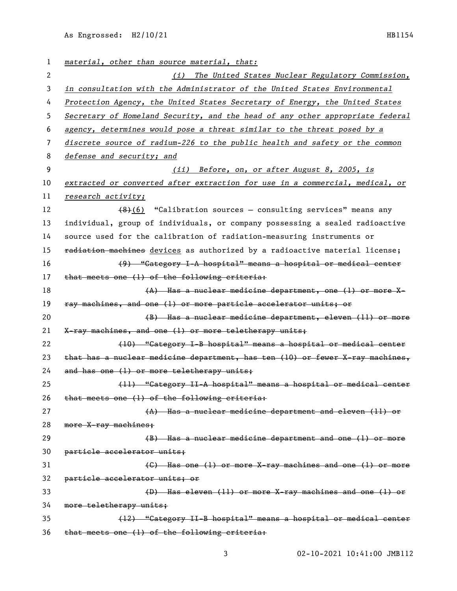As Engrossed: H2/10/21 HB1154

| 1  | material, other than source material, that:                                   |
|----|-------------------------------------------------------------------------------|
| 2  | (i) The United States Nuclear Regulatory Commission,                          |
| 3  | in consultation with the Administrator of the United States Environmental     |
| 4  | Protection Agency, the United States Secretary of Energy, the United States   |
| 5  | Secretary of Homeland Security, and the head of any other appropriate federal |
| 6  | agency, determines would pose a threat similar to the threat posed by a       |
| 7  | discrete source of radium-226 to the public health and safety or the common   |
| 8  | defense and security; and                                                     |
| 9  | (ii) Before, on, or after August 8, 2005, is                                  |
| 10 | extracted or converted after extraction for use in a commercial, medical, or  |
| 11 | research activity;                                                            |
| 12 | $(8)(6)$ "Calibration sources - consulting services" means any                |
| 13 | individual, group of individuals, or company possessing a sealed radioactive  |
| 14 | source used for the calibration of radiation-measuring instruments or         |
| 15 | radiation machines devices as authorized by a radioactive material license;   |
| 16 | (9) "Gategory I-A hospital" means a hospital or medical center                |
| 17 | that meets one (1) of the following criteria:                                 |
| 18 | (A) Has a nuclear medicine department, one (1) or more X-                     |
| 19 | ray machines, and one (1) or more particle accelerator units; or              |
| 20 | (B) Has a nuclear medicine department, eleven (11) or more                    |
| 21 | X-ray machines, and one (1) or more teletherapy units;                        |
| 22 | (10) "Category I-B hospital" means a hospital or medical center               |
| 23 | that has a nuclear medicine department, has ten (10) or fewer X-ray machines, |
| 24 | and has one (1) or more teletherapy units;                                    |
| 25 | (11) "Category II-A hospital" means a hospital or medical center              |
| 26 | that meets one (1) of the following criteria:                                 |
| 27 | $(A)$ Has a nuclear medicine department and eleven $(11)$ or                  |
| 28 | more X-ray machines;                                                          |
| 29 | (B) Has a nuclear medicine department and one (1) or more                     |
| 30 | particle accelerator units;                                                   |
| 31 | (C) Has one (1) or more X-ray machines and one (1) or more                    |
| 32 | particle accelerator units; or                                                |
| 33 | (D) Has eleven (11) or more X-ray machines and one (1) or                     |
| 34 | more teletherapy units;                                                       |
| 35 |                                                                               |
|    | (12) "Category II-B hospital" means a hospital or medical center              |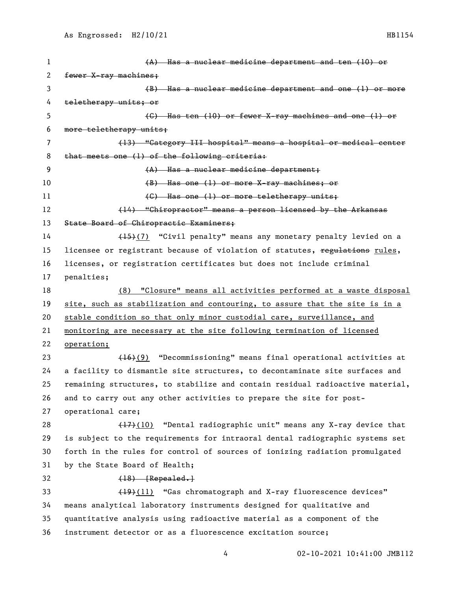(A) Has a nuclear medicine department and ten (10) or 2 fewer X-ray machines: (B) Has a nuclear medicine department and one (1) or more teletherapy units; or (C) Has ten (10) or fewer X-ray machines and one (1) or more teletherapy units; (13) "Category III hospital" means a hospital or medical center that meets one (1) of the following criteria: (A) Has a nuclear medicine department; (B) Has one (1) or more X-ray machines; or 11 (G) Has one (1) or more teletherapy units; 12 (14) "Chiropractor" means a person licensed by the Arkansas 13 State Board of Chiropractic Examiners; 14 (15)(7) "Civil penalty" means any monetary penalty levied on a 15 licensee or registrant because of violation of statutes, regulations rules, licenses, or registration certificates but does not include criminal penalties; (8) "Closure" means all activities performed at a waste disposal site, such as stabilization and contouring, to assure that the site is in a stable condition so that only minor custodial care, surveillance, and monitoring are necessary at the site following termination of licensed operation; (16)(9) "Decommissioning" means final operational activities at a facility to dismantle site structures, to decontaminate site surfaces and remaining structures, to stabilize and contain residual radioactive material, and to carry out any other activities to prepare the site for post- operational care;  $(17)(10)$  "Dental radiographic unit" means any X-ray device that is subject to the requirements for intraoral dental radiographic systems set forth in the rules for control of sources of ionizing radiation promulgated by the State Board of Health; 32 (18) [Repealed.] (19)(11) "Gas chromatograph and X-ray fluorescence devices" means analytical laboratory instruments designed for qualitative and quantitative analysis using radioactive material as a component of the instrument detector or as a fluorescence excitation source;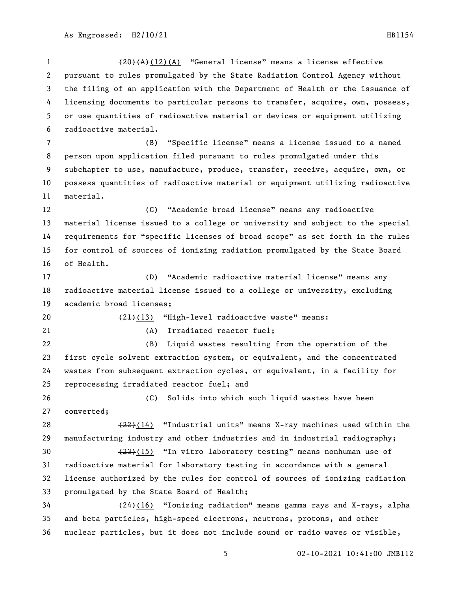(20)(A)(12)(A) "General license" means a license effective pursuant to rules promulgated by the State Radiation Control Agency without the filing of an application with the Department of Health or the issuance of licensing documents to particular persons to transfer, acquire, own, possess, or use quantities of radioactive material or devices or equipment utilizing radioactive material. (B) "Specific license" means a license issued to a named person upon application filed pursuant to rules promulgated under this subchapter to use, manufacture, produce, transfer, receive, acquire, own, or possess quantities of radioactive material or equipment utilizing radioactive material. (C) "Academic broad license" means any radioactive material license issued to a college or university and subject to the special requirements for "specific licenses of broad scope" as set forth in the rules for control of sources of ionizing radiation promulgated by the State Board of Health. (D) "Academic radioactive material license" means any radioactive material license issued to a college or university, excluding academic broad licenses; 20 (21)(13) "High-level radioactive waste" means: 21 (A) Irradiated reactor fuel; (B) Liquid wastes resulting from the operation of the first cycle solvent extraction system, or equivalent, and the concentrated wastes from subsequent extraction cycles, or equivalent, in a facility for reprocessing irradiated reactor fuel; and (C) Solids into which such liquid wastes have been converted;  $(22)(14)$  "Industrial units" means X-ray machines used within the manufacturing industry and other industries and in industrial radiography; (23)(15) "In vitro laboratory testing" means nonhuman use of radioactive material for laboratory testing in accordance with a general license authorized by the rules for control of sources of ionizing radiation promulgated by the State Board of Health; (24)(16) "Ionizing radiation" means gamma rays and X-rays, alpha and beta particles, high-speed electrons, neutrons, protons, and other 36 nuclear particles, but  $\pm \epsilon$  does not include sound or radio waves or visible,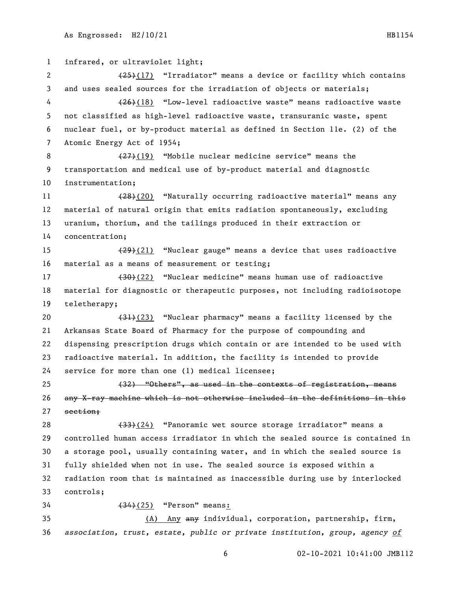infrared, or ultraviolet light; 2 (25)(17) "Irradiator" means a device or facility which contains and uses sealed sources for the irradiation of objects or materials; (26)(18) "Low-level radioactive waste" means radioactive waste not classified as high-level radioactive waste, transuranic waste, spent nuclear fuel, or by-product material as defined in Section 11e. (2) of the Atomic Energy Act of 1954; 8 (27)(19) "Mobile nuclear medicine service" means the transportation and medical use of by-product material and diagnostic instrumentation; 11 (28)(20) "Naturally occurring radioactive material" means any material of natural origin that emits radiation spontaneously, excluding uranium, thorium, and the tailings produced in their extraction or concentration; (29)(21) "Nuclear gauge" means a device that uses radioactive material as a means of measurement or testing; 17 (30)(22) "Nuclear medicine" means human use of radioactive material for diagnostic or therapeutic purposes, not including radioisotope teletherapy; 20 (31)(23) "Nuclear pharmacy" means a facility licensed by the Arkansas State Board of Pharmacy for the purpose of compounding and dispensing prescription drugs which contain or are intended to be used with radioactive material. In addition, the facility is intended to provide service for more than one (1) medical licensee; (32) "Others", as used in the contexts of registration, means any X-ray machine which is not otherwise included in the definitions in this section; (33)(24) "Panoramic wet source storage irradiator" means a controlled human access irradiator in which the sealed source is contained in a storage pool, usually containing water, and in which the sealed source is fully shielded when not in use. The sealed source is exposed within a radiation room that is maintained as inaccessible during use by interlocked controls; (34)(25) "Person" means: (A) Any any individual, corporation, partnership, firm, *association, trust, estate, public or private institution, group, agency of*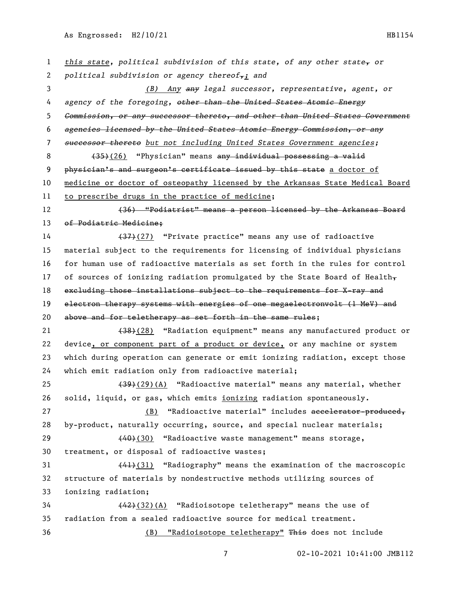As Engrossed: H2/10/21 HB1154

 *this state, political subdivision of this state, of any other state, or political subdivision or agency thereof,; and (B) Any any legal successor, representative, agent, or agency of the foregoing, other than the United States Atomic Energy Commission, or any successor thereto, and other than United States Government agencies licensed by the United States Atomic Energy Commission, or any successor thereto but not including United States Government agencies;* 8 (35)(26) "Physician" means any individual possessing a valid 9 physician's and surgeon's certificate issued by this state a doctor of medicine or doctor of osteopathy licensed by the Arkansas State Medical Board to prescribe drugs in the practice of medicine; (36) "Podiatrist" means a person licensed by the Arkansas Board of Podiatric Medicine; 14 (37)(27) "Private practice" means any use of radioactive material subject to the requirements for licensing of individual physicians for human use of radioactive materials as set forth in the rules for control 17 of sources of ionizing radiation promulgated by the State Board of Health $_{\overline{7}}$ 18 excluding those installations subject to the requirements for X-ray and 19 electron therapy systems with energies of one megaelectronvolt (1 MeV) and above and for teletherapy as set forth in the same rules; 21 (38)(28) "Radiation equipment" means any manufactured product or device, or component part of a product or device, or any machine or system which during operation can generate or emit ionizing radiation, except those which emit radiation only from radioactive material; (39)(29)(A) "Radioactive material" means any material, whether solid, liquid, or gas, which emits ionizing radiation spontaneously. 27 (B) "Radioactive material" includes accelerator-produced, by-product, naturally occurring, source, and special nuclear materials; 29 (40)(30) "Radioactive waste management" means storage, treatment, or disposal of radioactive wastes; (41)(31) "Radiography" means the examination of the macroscopic structure of materials by nondestructive methods utilizing sources of ionizing radiation; 34 (42)(32)(A) "Radioisotope teletherapy" means the use of radiation from a sealed radioactive source for medical treatment. (B) "Radioisotope teletherapy" This does not include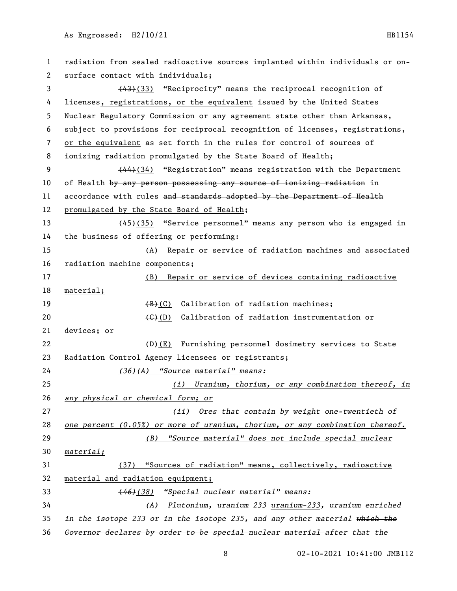radiation from sealed radioactive sources implanted within individuals or on- surface contact with individuals; 3 (43)(33) "Reciprocity" means the reciprocal recognition of 4 licenses, registrations, or the equivalent issued by the United States Nuclear Regulatory Commission or any agreement state other than Arkansas, subject to provisions for reciprocal recognition of licenses, registrations, or the equivalent as set forth in the rules for control of sources of ionizing radiation promulgated by the State Board of Health; 9 (44)(34) "Registration" means registration with the Department 10 of Health by any person possessing any source of ionizing radiation in 11 accordance with rules and standards adopted by the Department of Health promulgated by the State Board of Health; 13 (45)(35) "Service personnel" means any person who is engaged in the business of offering or performing: (A) Repair or service of radiation machines and associated radiation machine components; (B) Repair or service of devices containing radioactive material; 19 (B)(C) Calibration of radiation machines; 20 (C)(D) Calibration of radiation instrumentation or devices; or 22 (D)(E) Furnishing personnel dosimetry services to State Radiation Control Agency licensees or registrants; *(36)(A) "Source material" means: (i) Uranium, thorium, or any combination thereof, in any physical or chemical form; or (ii) Ores that contain by weight one-twentieth of one percent (0.05%) or more of uranium, thorium, or any combination thereof. (B) "Source material" does not include special nuclear material;* (37) "Sources of radiation" means, collectively, radioactive material and radiation equipment; (*46)(38) "Special nuclear material" means: (A) Plutonium, uranium 233 uranium-233, uranium enriched in the isotope 233 or in the isotope 235, and any other material which the Governor declares by order to be special nuclear material after that the*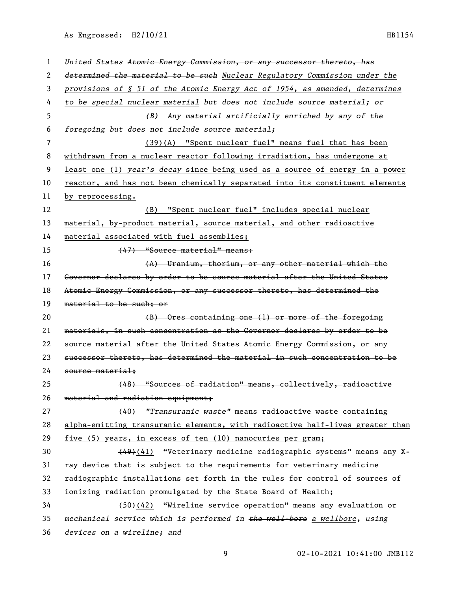As Engrossed: H2/10/21 HB1154

| 1  | United States Atomic Energy Commission, or any successor thereto, has         |
|----|-------------------------------------------------------------------------------|
| 2  | determined the material to be such Nuclear Regulatory Commission under the    |
| 3  | provisions of § 51 of the Atomic Energy Act of 1954, as amended, determines   |
| 4  | to be special nuclear material but does not include source material; or       |
| 5  | Any material artificially enriched by any of the<br>(B)                       |
| 6  | foregoing but does not include source material;                               |
| 7  | (39)(A) "Spent nuclear fuel" means fuel that has been                         |
| 8  | withdrawn from a nuclear reactor following irradiation, has undergone at      |
| 9  | least one (1) year's decay since being used as a source of energy in a power  |
| 10 | reactor, and has not been chemically separated into its constituent elements  |
| 11 | by reprocessing.                                                              |
| 12 | (B) "Spent nuclear fuel" includes special nuclear                             |
| 13 | material, by-product material, source material, and other radioactive         |
| 14 | material associated with fuel assemblies;                                     |
| 15 | (47) "Source material" means:                                                 |
| 16 | (A) Uranium, thorium, or any other material which the                         |
| 17 | Governor declares by order to be source material after the United States      |
| 18 | Atomic Energy Commission, or any successor thereto, has determined the        |
| 19 | material to be such; or                                                       |
| 20 | $(B)$ Ores containing one (1) or more of the foregoing                        |
| 21 | materials, in such concentration as the Governor declares by order to be      |
| 22 | source material after the United States Atomic Energy Commission, or any      |
| 23 | successor thereto, has determined the material in such concentration to be    |
| 24 | source material:                                                              |
| 25 | (48) "Sources of radiation" means, collectively, radioactive                  |
| 26 | material and radiation equipment;                                             |
| 27 | (40) "Transuranic waste" means radioactive waste containing                   |
| 28 | alpha-emitting transuranic elements, with radioactive half-lives greater than |
| 29 | five (5) years, in excess of ten (10) nanocuries per gram;                    |
| 30 | (49)(41) "Veterinary medicine radiographic systems" means any X-              |
| 31 | ray device that is subject to the requirements for veterinary medicine        |
| 32 | radiographic installations set forth in the rules for control of sources of   |
| 33 | ionizing radiation promulgated by the State Board of Health;                  |
| 34 | (50)(42) "Wireline service operation" means any evaluation or                 |
| 35 | mechanical service which is performed in the well-bore a wellbore, using      |
| 36 | devices on a wireline; and                                                    |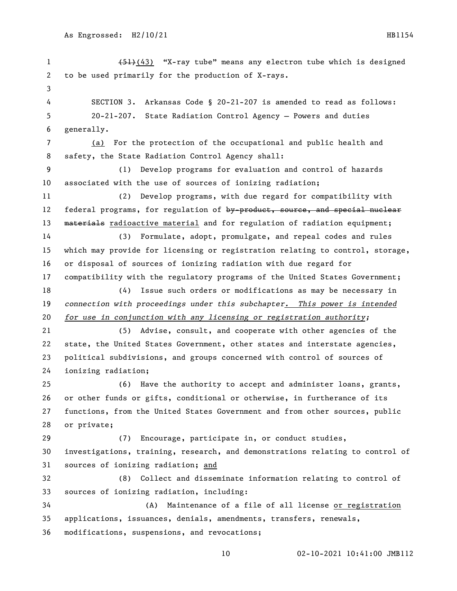1 (51)(43) "X-ray tube" means any electron tube which is designed to be used primarily for the production of X-rays. SECTION 3. Arkansas Code § 20-21-207 is amended to read as follows: 20-21-207. State Radiation Control Agency — Powers and duties generally. (a) For the protection of the occupational and public health and safety, the State Radiation Control Agency shall: (1) Develop programs for evaluation and control of hazards associated with the use of sources of ionizing radiation; (2) Develop programs, with due regard for compatibility with 12 federal programs, for regulation of by-product, source, and special nuclear 13 materials radioactive material and for regulation of radiation equipment; (3) Formulate, adopt, promulgate, and repeal codes and rules which may provide for licensing or registration relating to control, storage, or disposal of sources of ionizing radiation with due regard for compatibility with the regulatory programs of the United States Government; (4) Issue such orders or modifications as may be necessary in *connection with proceedings under this subchapter. This power is intended for use in conjunction with any licensing or registration authority;* (5) Advise, consult, and cooperate with other agencies of the state, the United States Government, other states and interstate agencies, political subdivisions, and groups concerned with control of sources of ionizing radiation; (6) Have the authority to accept and administer loans, grants, or other funds or gifts, conditional or otherwise, in furtherance of its functions, from the United States Government and from other sources, public or private; (7) Encourage, participate in, or conduct studies, investigations, training, research, and demonstrations relating to control of sources of ionizing radiation; and (8) Collect and disseminate information relating to control of sources of ionizing radiation, including: (A) Maintenance of a file of all license or registration applications, issuances, denials, amendments, transfers, renewals, modifications, suspensions, and revocations;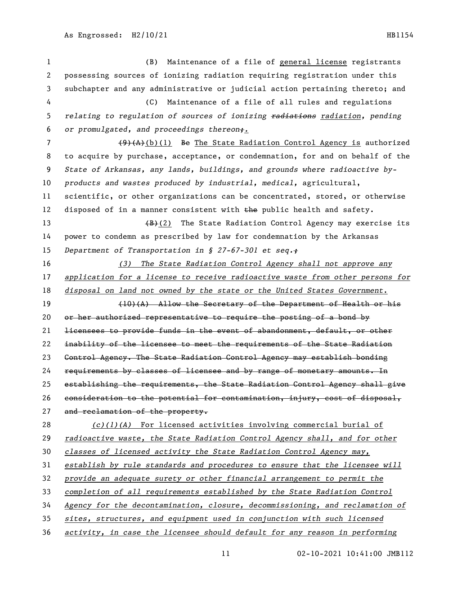(B) Maintenance of a file of general license registrants possessing sources of ionizing radiation requiring registration under this subchapter and any administrative or judicial action pertaining thereto; and (C) Maintenance of a file of all rules and regulations *relating to regulation of sources of ionizing radiations radiation, pending or promulgated, and proceedings thereon;.*  $(9)(A)(b)(1)$  Be The State Radiation Control Agency is authorized to acquire by purchase, acceptance, or condemnation, for and on behalf of the *State of Arkansas, any lands, buildings, and grounds where radioactive by- products and wastes produced by industrial, medical,* agricultural, scientific, or other organizations can be concentrated, stored, or otherwise 12 disposed of in a manner consistent with the public health and safety. 13 (B)(2) The State Radiation Control Agency may exercise its power to condemn as prescribed by law for condemnation by the Arkansas *Department of Transportation in § 27-67-301 et seq.; (3) The State Radiation Control Agency shall not approve any application for a license to receive radioactive waste from other persons for disposal on land not owned by the state or the United States Government*. (10)(A) Allow the Secretary of the Department of Health or his 20 or her authorized representative to require the posting of a bond by licensees to provide funds in the event of abandonment, default, or other inability of the licensee to meet the requirements of the State Radiation Control Agency. The State Radiation Control Agency may establish bonding requirements by classes of licensee and by range of monetary amounts. In establishing the requirements, the State Radiation Control Agency shall give consideration to the potential for contamination, injury, cost of disposal, 27 and reclamation of the property. *(c)(1)(A)* For licensed activities involving commercial burial of *radioactive waste, the State Radiation Control Agency shall, and for other classes of licensed activity the State Radiation Control Agency may, establish by rule standards and procedures to ensure that the licensee will provide an adequate surety or other financial arrangement to permit the completion of all requirements established by the State Radiation Control Agency for the decontamination, closure, decommissioning, and reclamation of sites, structures, and equipment used in conjunction with such licensed activity, in case the licensee should default for any reason in performing*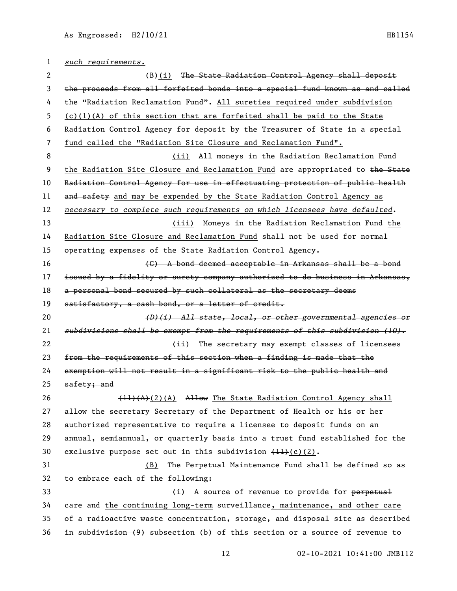*such requirements.* 2 (B)(i) The State Radiation Control Agency shall deposit the proceeds from all forfeited bonds into a special fund known as and called 4 the "Radiation Reclamation Fund". All sureties required under subdivision (c)(1)(A) of this section that are forfeited shall be paid to the State Radiation Control Agency for deposit by the Treasurer of State in a special fund called the "Radiation Site Closure and Reclamation Fund". 8 (ii) All moneys in the Radiation Reclamation Fund 9 the Radiation Site Closure and Reclamation Fund are appropriated to the State Radiation Control Agency for use in effectuating protection of public health 11 and safety and may be expended by the State Radiation Control Agency as *necessary to complete such requirements on which licensees have defaulted.* 13 (iii) Moneys in the Radiation Reclamation Fund the Radiation Site Closure and Reclamation Fund shall not be used for normal operating expenses of the State Radiation Control Agency. (C) A bond deemed acceptable in Arkansas shall be a bond issued by a fidelity or surety company authorized to do business in Arkansas, 18 a personal bond secured by such collateral as the secretary deems satisfactory, a cash bond, or a letter of credit. *(D)(i) All state, local, or other governmental agencies or subdivisions shall be exempt from the requirements of this subdivision (10).* **(ii)** The secretary may exempt classes of licensees from the requirements of this section when a finding is made that the exemption will not result in a significant risk to the public health and 25 safety; and 26 (11)(A)(2)(A) Allow The State Radiation Control Agency shall 27 allow the secretary Secretary of the Department of Health or his or her authorized representative to require a licensee to deposit funds on an annual, semiannual, or quarterly basis into a trust fund established for the 30 exclusive purpose set out in this subdivision  $(H+(c)(2))$ . (B) The Perpetual Maintenance Fund shall be defined so as to embrace each of the following: 33 (i) A source of revenue to provide for perpetual **care and** the continuing long-term surveillance, maintenance, and other care of a radioactive waste concentration, storage, and disposal site as described in subdivision (9) subsection (b) of this section or a source of revenue to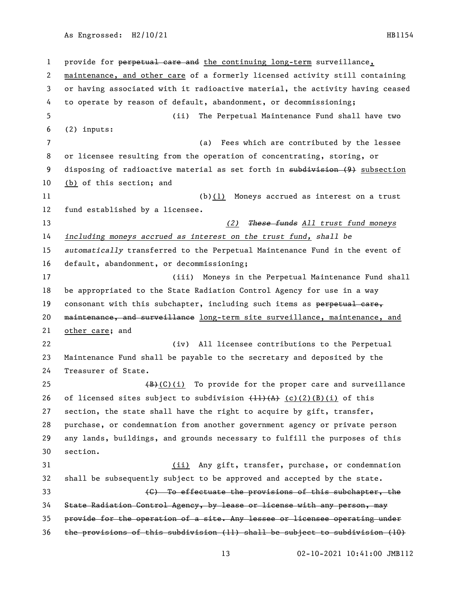As Engrossed: H2/10/21 HB1154

 provide for perpetual care and the continuing long-term surveillance, maintenance, and other care of a formerly licensed activity still containing or having associated with it radioactive material, the activity having ceased to operate by reason of default, abandonment, or decommissioning; (ii) The Perpetual Maintenance Fund shall have two (2) inputs: (a) Fees which are contributed by the lessee or licensee resulting from the operation of concentrating, storing, or 9 disposing of radioactive material as set forth in subdivision (9) subsection (b) of this section; and (b)(1) Moneys accrued as interest on a trust fund established by a licensee. *(2) These funds All trust fund moneys including moneys accrued as interest on the trust fund, shall be automatically* transferred to the Perpetual Maintenance Fund in the event of default, abandonment, or decommissioning; (iii) Moneys in the Perpetual Maintenance Fund shall be appropriated to the State Radiation Control Agency for use in a way 19 consonant with this subchapter, including such items as perpetual care, 20 maintenance, and surveillance long-term site surveillance, maintenance, and other care; and (iv) All licensee contributions to the Perpetual Maintenance Fund shall be payable to the secretary and deposited by the Treasurer of State.  $(B)+(C)(i)$  To provide for the proper care and surveillance 26 of licensed sites subject to subdivision  $\left(\frac{11}{A}\right)$   $\left(\frac{c}{2}\right)$  (B)(i) of this section, the state shall have the right to acquire by gift, transfer, purchase, or condemnation from another government agency or private person any lands, buildings, and grounds necessary to fulfill the purposes of this section. (ii) Any gift, transfer, purchase, or condemnation shall be subsequently subject to be approved and accepted by the state. (C) To effectuate the provisions of this subchapter, the State Radiation Control Agency, by lease or license with any person, may provide for the operation of a site. Any lessee or licensee operating under

the provisions of this subdivision (11) shall be subject to subdivision (10)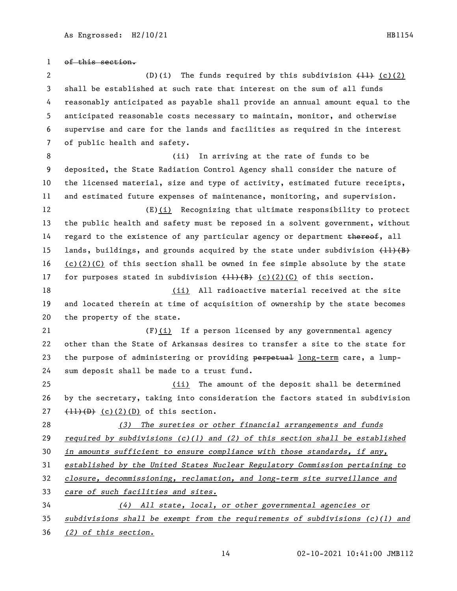of this section. 2 (D)(i) The funds required by this subdivision  $(11)$  (c)(2) shall be established at such rate that interest on the sum of all funds reasonably anticipated as payable shall provide an annual amount equal to the anticipated reasonable costs necessary to maintain, monitor, and otherwise supervise and care for the lands and facilities as required in the interest of public health and safety. 8 (ii) In arriving at the rate of funds to be deposited, the State Radiation Control Agency shall consider the nature of the licensed material, size and type of activity, estimated future receipts, and estimated future expenses of maintenance, monitoring, and supervision. (E)(i) Recognizing that ultimate responsibility to protect the public health and safety must be reposed in a solvent government, without 14 regard to the existence of any particular agency or department thereof, all 15 lands, buildings, and grounds acquired by the state under subdivision  $\{\pm 1\}(\overline{B})$ 16 (c)(2)(C) of this section shall be owned in fee simple absolute by the state 17 for purposes stated in subdivision  $\{11\}\{B\}$  (c)(2)(C) of this section. (ii) All radioactive material received at the site and located therein at time of acquisition of ownership by the state becomes the property of the state. (F)(i) If a person licensed by any governmental agency other than the State of Arkansas desires to transfer a site to the state for 23 the purpose of administering or providing perpetual long-term care, a lump- sum deposit shall be made to a trust fund. (ii) The amount of the deposit shall be determined by the secretary, taking into consideration the factors stated in subdivision  $(11)(D)$  (c)(2)(D) of this section. *(3) The sureties or other financial arrangements and funds required by subdivisions (c)(1) and (2) of this section shall be established in amounts sufficient to ensure compliance with those standards, if any, established by the United States Nuclear Regulatory Commission pertaining to closure, decommissioning, reclamation, and long-term site surveillance and care of such facilities and sites. (4) All state, local, or other governmental agencies or subdivisions shall be exempt from the requirements of subdivisions (c)(1) and* 

*(2) of this section.*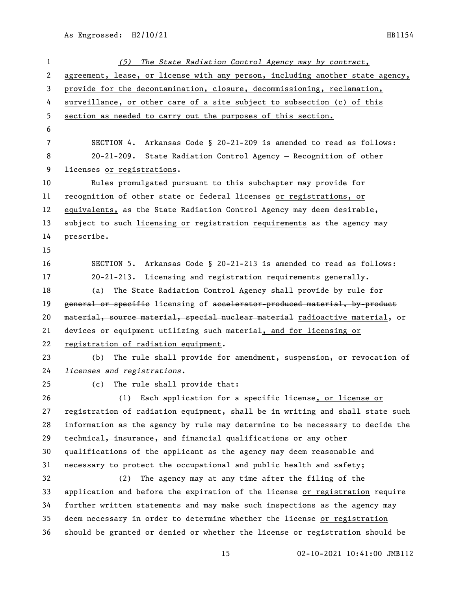| 1  | The State Radiation Control Agency may by contract,<br>(5)                    |
|----|-------------------------------------------------------------------------------|
| 2  | agreement, lease, or license with any person, including another state agency, |
| 3  | provide for the decontamination, closure, decommissioning, reclamation,       |
| 4  | surveillance, or other care of a site subject to subsection (c) of this       |
| 5  | section as needed to carry out the purposes of this section.                  |
| 6  |                                                                               |
| 7  | SECTION 4. Arkansas Code § 20-21-209 is amended to read as follows:           |
| 8  | 20-21-209. State Radiation Control Agency - Recognition of other              |
| 9  | licenses or registrations.                                                    |
| 10 | Rules promulgated pursuant to this subchapter may provide for                 |
| 11 | recognition of other state or federal licenses or registrations, or           |
| 12 | equivalents, as the State Radiation Control Agency may deem desirable,        |
| 13 | subject to such licensing or registration requirements as the agency may      |
| 14 | prescribe.                                                                    |
| 15 |                                                                               |
| 16 | SECTION 5. Arkansas Code § 20-21-213 is amended to read as follows:           |
| 17 | $20-21-213$ . Licensing and registration requirements generally.              |
| 18 | The State Radiation Control Agency shall provide by rule for<br>(a)           |
| 19 | general or specific licensing of accelerator-produced material, by-product    |
| 20 | material, source material, special nuclear material radioactive material, or  |
| 21 | devices or equipment utilizing such material, and for licensing or            |
| 22 | registration of radiation equipment.                                          |
| 23 | The rule shall provide for amendment, suspension, or revocation of<br>(b)     |
| 24 | licenses and registrations.                                                   |
| 25 | (c) The rule shall provide that:                                              |
| 26 | (1) Each application for a specific license, or license or                    |
| 27 | registration of radiation equipment, shall be in writing and shall state such |
| 28 | information as the agency by rule may determine to be necessary to decide the |
| 29 | technical, insurance, and financial qualifications or any other               |
| 30 | qualifications of the applicant as the agency may deem reasonable and         |
| 31 | necessary to protect the occupational and public health and safety;           |
| 32 | The agency may at any time after the filing of the<br>(2)                     |
| 33 | application and before the expiration of the license or registration require  |
| 34 | further written statements and may make such inspections as the agency may    |
| 35 | deem necessary in order to determine whether the license or registration      |
| 36 | should be granted or denied or whether the license or registration should be  |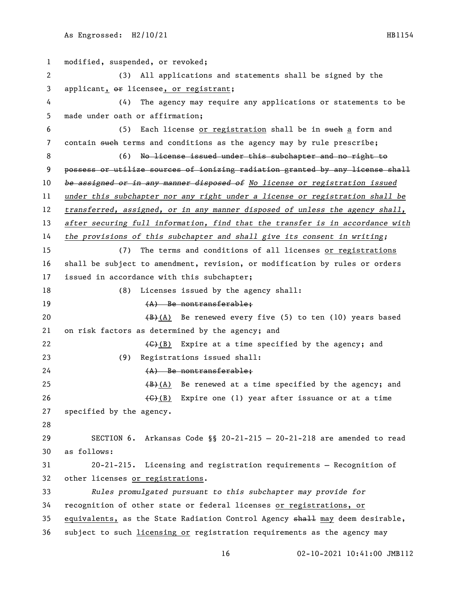| 1                     | modified, suspended, or revoked;                                              |
|-----------------------|-------------------------------------------------------------------------------|
| $\mathbf{2}^{\prime}$ | All applications and statements shall be signed by the<br>(3)                 |
| 3                     | applicant, or licensee, or registrant;                                        |
| 4                     | The agency may require any applications or statements to be<br>(4)            |
| 5                     | made under oath or affirmation;                                               |
| 6                     | Each license or registration shall be in such a form and<br>(5)               |
| 7                     | contain such terms and conditions as the agency may by rule prescribe;        |
| 8                     | No license issued under this subchapter and no right to<br>(6)                |
| 9                     | possess or utilize sources of ionizing radiation granted by any license shall |
| 10                    | be assigned or in any manner disposed of No license or registration issued    |
| 11                    | under this subchapter nor any right under a license or registration shall be  |
| 12                    | transferred, assigned, or in any manner disposed of unless the agency shall,  |
| 13                    | after securing full information, find that the transfer is in accordance with |
| 14                    | the provisions of this subchapter and shall give its consent in writing;      |
| 15                    | The terms and conditions of all licenses or registrations<br>(7)              |
| 16                    | shall be subject to amendment, revision, or modification by rules or orders   |
| 17                    | issued in accordance with this subchapter;                                    |
| 18                    | Licenses issued by the agency shall:<br>(8)                                   |
| 19                    | $(A)$ Be nontransferable;                                                     |
| 20                    | $(B)$ (A) Be renewed every five (5) to ten (10) years based                   |
| 21                    | on risk factors as determined by the agency; and                              |
| 22                    | $\left(\frac{1}{2}\right)$ Expire at a time specified by the agency; and      |
| 23                    | Registrations issued shall:<br>(9)                                            |
| 24                    | $(A)$ Be nontransferable:                                                     |
| 25                    | $(B)$ (A) Be renewed at a time specified by the agency; and                   |
| 26                    | $\overline{(G)(B)}$ Expire one (1) year after issuance or at a time           |
| 27                    | specified by the agency.                                                      |
| 28                    |                                                                               |
| 29                    | SECTION 6. Arkansas Code §§ 20-21-215 - 20-21-218 are amended to read         |
| 30                    | as follows:                                                                   |
| 31                    | 20-21-215. Licensing and registration requirements - Recognition of           |
| 32                    | other licenses or registrations.                                              |
| 33                    | Rules promulgated pursuant to this subchapter may provide for                 |
| 34                    | recognition of other state or federal licenses or registrations, or           |
| 35                    | equivalents, as the State Radiation Control Agency shall may deem desirable,  |
| 36                    | subject to such licensing or registration requirements as the agency may      |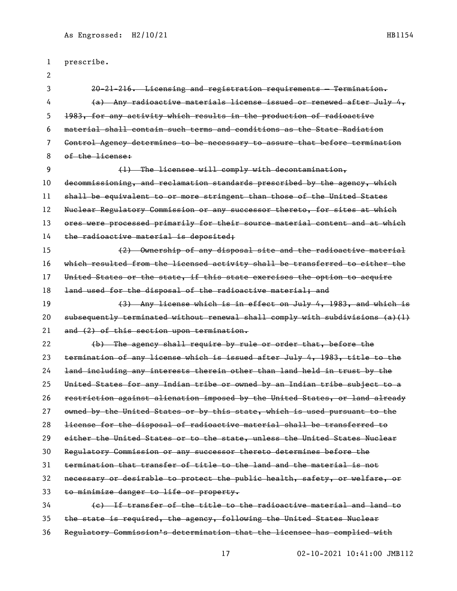| 1  | prescribe.                                                                         |
|----|------------------------------------------------------------------------------------|
| 2  |                                                                                    |
| 3  | $20-21-216$ . Licensing and registration requirements Termination.                 |
| 4  | $(a)$ Any radioactive materials license issued or renewed after July $4$ ,         |
| 5  | 1983, for any activity which results in the production of radioactive              |
| 6  | material shall contain such terms and conditions as the State Radiation            |
| 7  | Control Agency determines to be necessary to assure that before termination        |
| 8  | of the license:                                                                    |
| 9  | (1) The licensee will comply with decontamination,                                 |
| 10 | decommissioning, and reclamation standards prescribed by the agency, which         |
| 11 | shall be equivalent to or more stringent than those of the United States           |
| 12 | Nuelear Regulatory Commission or any successor thereto, for sites at which         |
| 13 | ores were processed primarily for their source material content and at which       |
| 14 | the radioactive material is deposited;                                             |
| 15 | (2) Ownership of any disposal site and the radioactive material                    |
| 16 | which resulted from the licensed activity shall be transferred to either the       |
| 17 | United States or the state, if this state exercises the option to acquire          |
| 18 | land used for the disposal of the radioactive material; and                        |
| 19 | (3) Any license which is in effect on July 4, 1983, and which is                   |
| 20 | $subsequently$ terminated without renewal shall comply with subdivisions $(a)$ (1) |
| 21 | and (2) of this section upon termination.                                          |
| 22 | (b) The agency shall require by rule or order that, before the                     |
| 23 | termination of any license which is issued after July 4, 1983, title to the        |
| 24 | land including any interests therein other than land held in trust by the          |
| 25 | United States for any Indian tribe or owned by an Indian tribe subject to a        |
| 26 | restriction against alienation imposed by the United States, or land already       |
| 27 | owned by the United States or by this state, which is used pursuant to the         |
| 28 | license for the disposal of radioactive material shall be transferred to           |
| 29 | either the United States or to the state, unless the United States Nuelear         |
| 30 | Regulatory Commission or any successor thereto determines before the               |
| 31 | termination that transfer of title to the land and the material is not             |
| 32 | necessary or desirable to protect the public health, safety, or welfare, or        |
| 33 | to minimize danger to life or property.                                            |
| 34 | (e) If transfer of the title to the radioactive material and land to               |
| 35 | the state is required, the agency, following the United States Nuclear             |

Regulatory Commission's determination that the licensee has complied with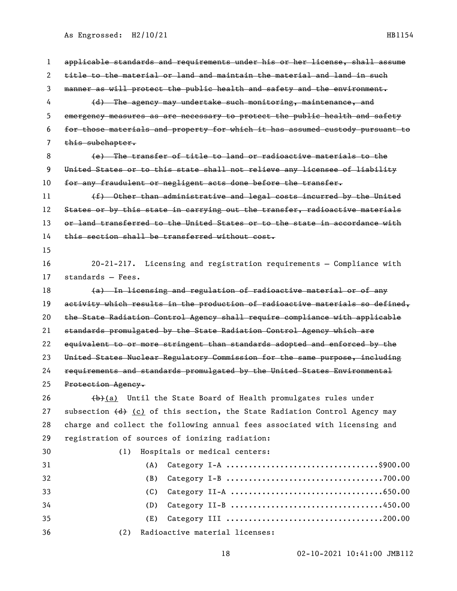As Engrossed: H2/10/21 HB1154

 applicable standards and requirements under his or her license, shall assume title to the material or land and maintain the material and land in such manner as will protect the public health and safety and the environment. 4 (d) The agency may undertake such monitoring, maintenance, and emergency measures as are necessary to protect the public health and safety for those materials and property for which it has assumed custody pursuant to 7 this subchapter. (e) The transfer of title to land or radioactive materials to the United States or to this state shall not relieve any licensee of liability for any fraudulent or negligent acts done before the transfer. 11 (f) Other than administrative and legal costs incurred by the United 12 States or by this state in carrying out the transfer, radioactive materials 13 or land transferred to the United States or to the state in accordance with this section shall be transferred without cost. 20-21-217. Licensing and registration requirements — Compliance with standards — Fees. (a) In licensing and regulation of radioactive material or of any 19 activity which results in the production of radioactive materials so defined, the State Radiation Control Agency shall require compliance with applicable standards promulgated by the State Radiation Control Agency which are equivalent to or more stringent than standards adopted and enforced by the United States Nuclear Regulatory Commission for the same purpose, including requirements and standards promulgated by the United States Environmental Protection Agency.  $(b)$  (a) Until the State Board of Health promulgates rules under 27 subsection  $\left(\frac{d}{d}\right)$  (c) of this section, the State Radiation Control Agency may charge and collect the following annual fees associated with licensing and registration of sources of ionizing radiation: (1) Hospitals or medical centers: (A) Category I-A ..................................\$900.00 (B) Category I-B ...................................700.00 (C) Category II-A ..................................650.00 (D) Category II-B ..................................450.00 (E) Category III ...................................200.00 (2) Radioactive material licenses: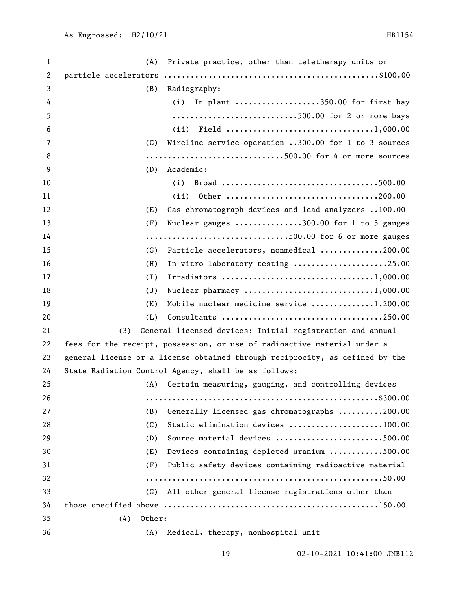| $\mathbf 1$ | (A)           | Private practice, other than teletherapy units or                            |
|-------------|---------------|------------------------------------------------------------------------------|
| 2           |               |                                                                              |
| 3           | (B)           | Radiography:                                                                 |
| 4           |               | In plant 350.00 for first bay<br>(i)                                         |
| 5           |               | 500.00 for 2 or more bays                                                    |
| 6           |               | (ii)                                                                         |
| 7           | (C)           | Wireline service operation 300.00 for 1 to 3 sources                         |
| 8           |               | 500.00 for 4 or more sources                                                 |
| 9           | (D)           | Academic:                                                                    |
| 10          |               | (i)                                                                          |
| 11          |               | (ii)<br>0ther 200.00                                                         |
| 12          | (E)           | Gas chromatograph devices and lead analyzers 100.00                          |
| 13          | (F)           | Nuclear gauges 300.00 for 1 to 5 gauges                                      |
| 14          |               | 500.00 for 6 or more gauges                                                  |
| 15          | (G)           | Particle accelerators, nonmedical 200.00                                     |
| 16          | (H)           | In vitro laboratory testing 25.00                                            |
| 17          | (1)           |                                                                              |
| 18          | (J)           |                                                                              |
| 19          | (K)           | Mobile nuclear medicine service 1,200.00                                     |
| 20          | (L)           | Consultants 250.00                                                           |
| 21          | (3)           | General licensed devices: Initial registration and annual                    |
| 22          |               | fees for the receipt, possession, or use of radioactive material under a     |
| 23          |               | general license or a license obtained through reciprocity, as defined by the |
| 24          |               | State Radiation Control Agency, shall be as follows:                         |
| 25          |               | (A) Certain measuring, gauging, and controlling devices                      |
| 26          |               |                                                                              |
| 27          | (B)           | Generally licensed gas chromatographs 200.00                                 |
| 28          | (C)           | Static elimination devices 100.00                                            |
| 29          | (D)           | Source material devices 500.00                                               |
| 30          | (E)           | Devices containing depleted uranium 500.00                                   |
| 31          | (F)           | Public safety devices containing radioactive material                        |
| 32          |               |                                                                              |
| 33          | (G)           | All other general license registrations other than                           |
| 34          |               |                                                                              |
| 35          | Other:<br>(4) |                                                                              |
| 36          |               | (A) Medical, therapy, nonhospital unit                                       |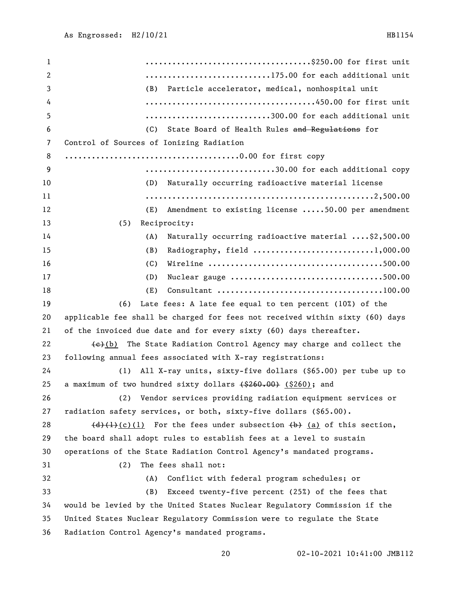.....................................\$250.00 for first unit **...........................**175.00 for each additional unit (B) Particle accelerator, medical, nonhospital unit ......................................450.00 for first unit ............................300.00 for each additional unit (C) State Board of Health Rules and Regulations for Control of Sources of Ionizing Radiation .......................................0.00 for first copy .............................30.00 for each additional copy (D) Naturally occurring radioactive material license ...................................................2,500.00 (E) Amendment to existing license .....50.00 per amendment (5) Reciprocity: (A) Naturally occurring radioactive material ....\$2,500.00 (B) Radiography, field ...........................1,000.00 (C) Wireline .......................................500.00 (D) Nuclear gauge ..................................500.00 (E) Consultant .....................................100.00 (6) Late fees: A late fee equal to ten percent (10%) of the applicable fee shall be charged for fees not received within sixty (60) days of the invoiced due date and for every sixty (60) days thereafter.  $\leftarrow$  (e)(b) The State Radiation Control Agency may charge and collect the following annual fees associated with X-ray registrations: (1) All X-ray units, sixty-five dollars (\$65.00) per tube up to 25 a maximum of two hundred sixty dollars  $( $260,00)$  (\$260); and (2) Vendor services providing radiation equipment services or radiation safety services, or both, sixty-five dollars (\$65.00).  $(d)$  (d)(1) For the fees under subsection (b) (a) of this section, the board shall adopt rules to establish fees at a level to sustain operations of the State Radiation Control Agency's mandated programs. (2) The fees shall not: (A) Conflict with federal program schedules; or (B) Exceed twenty-five percent (25%) of the fees that would be levied by the United States Nuclear Regulatory Commission if the United States Nuclear Regulatory Commission were to regulate the State Radiation Control Agency's mandated programs.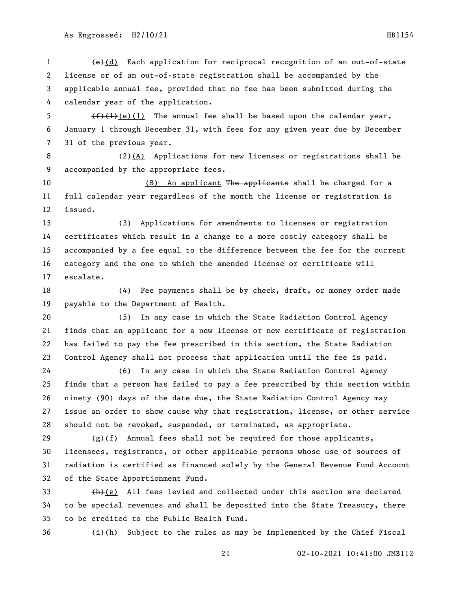1 (e)(d) Each application for reciprocal recognition of an out-of-state license or of an out-of-state registration shall be accompanied by the applicable annual fee, provided that no fee has been submitted during the calendar year of the application.

5  $(f)(1)(e)(1)$  The annual fee shall be based upon the calendar year, January 1 through December 31, with fees for any given year due by December 31 of the previous year.

 (2)(A) Applications for new licenses or registrations shall be accompanied by the appropriate fees.

10 (B) An applicant The applicants shall be charged for a full calendar year regardless of the month the license or registration is issued.

 (3) Applications for amendments to licenses or registration certificates which result in a change to a more costly category shall be accompanied by a fee equal to the difference between the fee for the current category and the one to which the amended license or certificate will escalate.

 (4) Fee payments shall be by check, draft, or money order made payable to the Department of Health.

 (5) In any case in which the State Radiation Control Agency finds that an applicant for a new license or new certificate of registration has failed to pay the fee prescribed in this section, the State Radiation Control Agency shall not process that application until the fee is paid.

 (6) In any case in which the State Radiation Control Agency finds that a person has failed to pay a fee prescribed by this section within ninety (90) days of the date due, the State Radiation Control Agency may issue an order to show cause why that registration, license, or other service should not be revoked, suspended, or terminated, as appropriate.

 $\left(\frac{1}{2}\right)$  Annual fees shall not be required for those applicants, licensees, registrants, or other applicable persons whose use of sources of radiation is certified as financed solely by the General Revenue Fund Account of the State Apportionment Fund.

 $\left(\frac{h}{g}\right)$  All fees levied and collected under this section are declared to be special revenues and shall be deposited into the State Treasury, there to be credited to the Public Health Fund.

36  $\leftarrow$   $\leftarrow$   $\leftarrow$  (h) Subject to the rules as may be implemented by the Chief Fiscal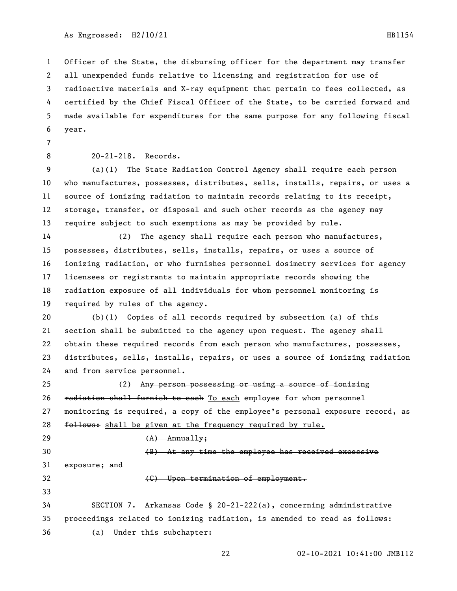02-10-2021 10:41:00 JMB112 all unexpended funds relative to licensing and registration for use of radioactive materials and X-ray equipment that pertain to fees collected, as certified by the Chief Fiscal Officer of the State, to be carried forward and made available for expenditures for the same purpose for any following fiscal year. 20-21-218. Records. (a)(1) The State Radiation Control Agency shall require each person who manufactures, possesses, distributes, sells, installs, repairs, or uses a source of ionizing radiation to maintain records relating to its receipt, storage, transfer, or disposal and such other records as the agency may require subject to such exemptions as may be provided by rule. (2) The agency shall require each person who manufactures, possesses, distributes, sells, installs, repairs, or uses a source of ionizing radiation, or who furnishes personnel dosimetry services for agency licensees or registrants to maintain appropriate records showing the radiation exposure of all individuals for whom personnel monitoring is required by rules of the agency. (b)(1) Copies of all records required by subsection (a) of this section shall be submitted to the agency upon request. The agency shall obtain these required records from each person who manufactures, possesses, distributes, sells, installs, repairs, or uses a source of ionizing radiation and from service personnel. (2) Any person possessing or using a source of ionizing 26 radiation shall furnish to each To each employee for whom personnel 27 monitoring is required, a copy of the employee's personal exposure record,  $\overline{a}$ 28 follows: shall be given at the frequency required by rule. (A) Annually; (B) At any time the employee has received excessive exposure; and **(G)** Upon termination of employment. SECTION 7. Arkansas Code § 20-21-222(a), concerning administrative proceedings related to ionizing radiation, is amended to read as follows: (a) Under this subchapter:

Officer of the State, the disbursing officer for the department may transfer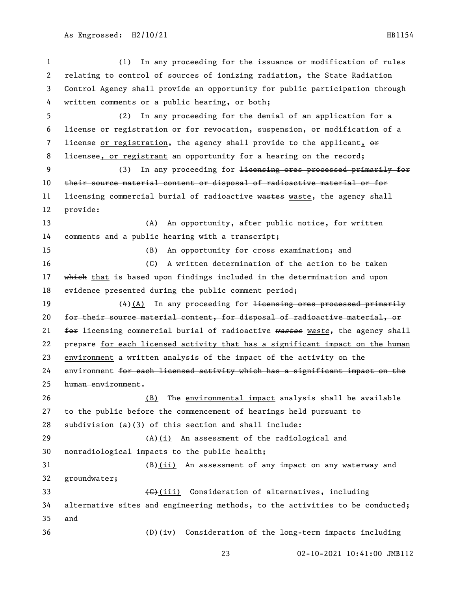(1) In any proceeding for the issuance or modification of rules relating to control of sources of ionizing radiation, the State Radiation Control Agency shall provide an opportunity for public participation through written comments or a public hearing, or both; (2) In any proceeding for the denial of an application for a license or registration or for revocation, suspension, or modification of a 7 license or registration, the agency shall provide to the applicant,  $\Theta$  licensee, or registrant an opportunity for a hearing on the record; (3) In any proceeding for licensing ores processed primarily for their source material content or disposal of radioactive material or for 11 licensing commercial burial of radioactive wastes waste, the agency shall provide: (A) An opportunity, after public notice, for written comments and a public hearing with a transcript; (B) An opportunity for cross examination; and (C) A written determination of the action to be taken 17 which that is based upon findings included in the determination and upon evidence presented during the public comment period; 19 (4)(A) In any proceeding for <del>licensing ores processed primarily</del> for their source material content, for disposal of radioactive material, or for licensing commercial burial of radioactive *wastes waste,* the agency shall prepare for each licensed activity that has a significant impact on the human environment a written analysis of the impact of the activity on the environment for each licensed activity which has a significant impact on the human environment. 26 (B) The environmental impact analysis shall be available to the public before the commencement of hearings held pursuant to subdivision (a)(3) of this section and shall include:  $(A)+(1)$  An assessment of the radiological and nonradiological impacts to the public health; 31 (B)(ii) An assessment of any impact on any waterway and groundwater; 33 (G)(iii) Consideration of alternatives, including alternative sites and engineering methods, to the activities to be conducted; and 36 (D)(iv) Consideration of the long-term impacts including